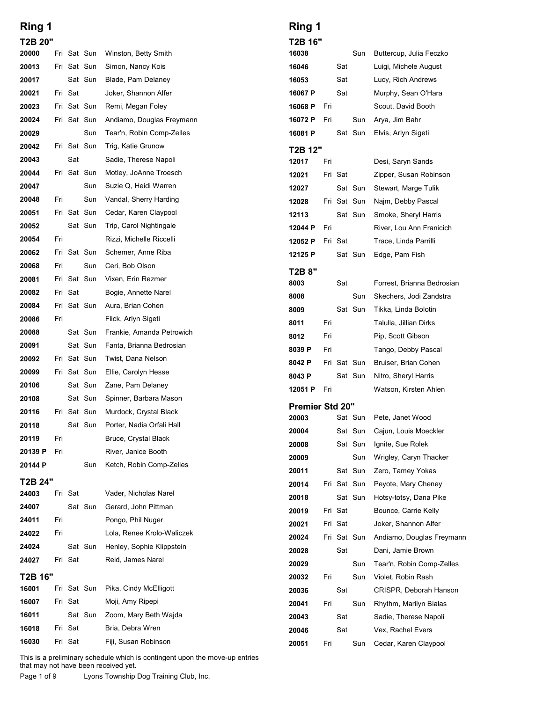| Ring 1         |     |         |                        |                                                     | Ring 1                 |     |         |                        |
|----------------|-----|---------|------------------------|-----------------------------------------------------|------------------------|-----|---------|------------------------|
| T2B 20"        |     |         |                        |                                                     | T2B 16"                |     |         |                        |
| 20000          |     |         | Fri Sat Sun            | Winston, Betty Smith                                | 16038                  |     |         | Sun                    |
| 20013          |     |         | Fri Sat Sun            | Simon, Nancy Kois                                   | 16046                  |     | Sat     |                        |
| 20017          |     |         | Sat Sun                | Blade, Pam Delaney                                  | 16053                  |     | Sat     |                        |
| 20021          |     | Fri Sat |                        | Joker, Shannon Alfer                                | 16067 P                |     | Sat     |                        |
| 20023          |     |         | Fri Sat Sun            | Remi, Megan Foley                                   | 16068 P                | Fri |         |                        |
| 20024          |     |         | Fri Sat Sun            | Andiamo, Douglas Freymann                           | 16072 P                | Fri |         | Sun                    |
| 20029          |     |         | Sun                    | Tear'n, Robin Comp-Zelles                           | 16081 P                |     |         | Sat Sun                |
| 20042          |     |         | Fri Sat Sun            | Trig, Katie Grunow                                  | T2B 12"                |     |         |                        |
| 20043<br>20044 |     | Sat     | Fri Sat Sun            | Sadie, Therese Napoli<br>Motley, JoAnne Troesch     | 12017                  | Fri |         |                        |
| 20047          |     |         | Sun                    | Suzie Q, Heidi Warren                               | 12021                  |     | Fri Sat |                        |
| 20048          | Fri |         | Sun                    | Vandal, Sherry Harding                              | 12027                  |     |         | Sat Sun<br>Fri Sat Sun |
| 20051          |     |         | Fri Sat Sun            | Cedar, Karen Claypool                               | 12028<br>12113         |     |         | Sat Sun                |
| 20052          |     |         | Sat Sun                | Trip, Carol Nightingale                             | 12044 P                | Fri |         |                        |
| 20054          | Fri |         |                        | Rizzi, Michelle Riccelli                            | 12052 P                |     | Fri Sat |                        |
| 20062          |     |         | Fri Sat Sun            | Schemer, Anne Riba                                  | 12125 P                |     |         | Sat Sun                |
| 20068          | Fri |         | Sun                    | Ceri, Bob Olson                                     |                        |     |         |                        |
| 20081          |     |         | Fri Sat Sun            | Vixen, Erin Rezmer                                  | T2B 8"<br>8003         |     | Sat     |                        |
| 20082          |     | Fri Sat |                        | Bogie, Annette Narel                                | 8008                   |     |         | Sun                    |
| 20084          |     |         | Fri Sat Sun            | Aura, Brian Cohen                                   | 8009                   |     |         | Sat Sun                |
| 20086          | Fri |         |                        | Flick, Arlyn Sigeti                                 | 8011                   | Fri |         |                        |
| 20088          |     |         | Sat Sun                | Frankie, Amanda Petrowich                           | 8012                   | Fri |         |                        |
| 20091          |     |         | Sat Sun                | Fanta, Brianna Bedrosian                            | 8039 P                 | Fri |         |                        |
| 20092          |     |         | Fri Sat Sun            | Twist, Dana Nelson                                  | 8042 P                 |     |         | Fri Sat Sun            |
| 20099          |     |         | Fri Sat Sun            | Ellie, Carolyn Hesse                                | 8043 P                 |     |         | Sat Sun                |
| 20106          |     |         | Sat Sun                | Zane, Pam Delaney                                   | 12051 P                | Fri |         |                        |
| 20108          |     |         | Sat Sun                | Spinner, Barbara Mason                              | <b>Premier Std 20"</b> |     |         |                        |
| 20116<br>20118 |     |         | Fri Sat Sun<br>Sat Sun | Murdock, Crystal Black<br>Porter, Nadia Orfali Hall | 20003                  |     |         | Sat Sun                |
| 20119          | Fri |         |                        | Bruce, Crystal Black                                | 20004                  |     |         | Sat Sun                |
| 20139 P        | Fri |         |                        | River, Janice Booth                                 | 20008                  |     |         | Sat Sun                |
| 20144 P        |     |         | Sun                    | Ketch, Robin Comp-Zelles                            | 20009                  |     |         | Sun                    |
| T2B 24"        |     |         |                        |                                                     | 20011                  |     |         | Sat Sun                |
| 24003          |     | Fri Sat |                        | Vader, Nicholas Narel                               | 20014                  |     |         | Fri Sat Sun            |
| 24007          |     |         | Sat Sun                | Gerard, John Pittman                                | 20018<br>20019         |     | Fri Sat | Sat Sun                |
| 24011          | Fri |         |                        | Pongo, Phil Nuger                                   | 20021                  |     | Fri Sat |                        |
| 24022          | Fri |         |                        | Lola, Renee Krolo-Waliczek                          | 20024                  |     |         | Fri Sat Sun            |
| 24024          |     |         | Sat Sun                | Henley, Sophie Klippstein                           | 20028                  |     | Sat     |                        |
| 24027          |     | Fri Sat |                        | Reid, James Narel                                   | 20029                  |     |         | Sun                    |
| T2B 16"        |     |         |                        |                                                     | 20032                  | Fri |         | Sun                    |
| 16001          |     |         | Fri Sat Sun            | Pika, Cindy McElligott                              | 20036                  |     | Sat     |                        |
| 16007          |     | Fri Sat |                        | Moji, Amy Ripepi                                    | 20041                  | Fri |         | Sun                    |
| 16011          |     |         | Sat Sun                | Zoom, Mary Beth Wajda                               | 20043                  |     | Sat     |                        |
| 16018          |     | Fri Sat |                        | Bria, Debra Wren                                    | 20046                  |     | Sat     |                        |
| 16030          |     | Fri Sat |                        | Fiji, Susan Robinson                                | 20051                  | Fri |         | Sun                    |

### Ring 1

| Ring 1                          |     |         |                        |                                                   |  |
|---------------------------------|-----|---------|------------------------|---------------------------------------------------|--|
| T2B 16"<br>16038                |     |         | Sun                    | Buttercup, Julia Feczko                           |  |
| 16046                           |     | Sat     |                        | Luigi, Michele August                             |  |
| 16053                           |     | Sat     |                        | Lucy, Rich Andrews                                |  |
| 16067 P                         |     | Sat     |                        | Murphy, Sean O'Hara                               |  |
| 16068 P                         | Fri |         |                        | Scout, David Booth                                |  |
| 16072 P                         | Fri |         | Sun                    | Arya, Jim Bahr                                    |  |
| 16081 P                         |     |         | Sat Sun                | Elvis, Arlyn Sigeti                               |  |
| T2B 12"                         |     |         |                        |                                                   |  |
| 12017                           | Fri |         |                        | Desi, Saryn Sands                                 |  |
| 12021                           |     | Fri Sat |                        | Zipper, Susan Robinson                            |  |
| 12027                           |     |         | Sat Sun<br>Fri Sat Sun | Stewart, Marge Tulik                              |  |
| 12028<br>12113                  |     |         | Sat Sun                | Najm, Debby Pascal<br>Smoke, Sheryl Harris        |  |
| 12044 P                         | Fri |         |                        | River, Lou Ann Franicich                          |  |
| 12052 P                         |     | Fri Sat |                        | Trace, Linda Parrilli                             |  |
| 12125 P                         |     |         | Sat Sun                | Edge, Pam Fish                                    |  |
| T2B 8"                          |     |         |                        |                                                   |  |
| 8003                            |     | Sat     |                        | Forrest, Brianna Bedrosian                        |  |
| 8008                            |     |         | Sun                    | Skechers, Jodi Zandstra                           |  |
| 8009                            |     |         | Sat Sun                | Tikka, Linda Bolotin                              |  |
| 8011                            | Fri |         |                        | Talulla, Jillian Dirks                            |  |
| 8012                            | Fri |         |                        | Pip, Scott Gibson                                 |  |
| 8039 P                          | Fri |         |                        | Tango, Debby Pascal                               |  |
| 8042 P                          |     |         | Fri Sat Sun            | Bruiser, Brian Cohen                              |  |
| 8043 P<br>12051 P               | Fri |         | Sat Sun                | Nitro, Sheryl Harris<br>Watson, Kirsten Ahlen     |  |
|                                 |     |         |                        |                                                   |  |
| <b>Premier Std 20"</b><br>20003 |     |         | Sat Sun                | Pete, Janet Wood                                  |  |
| 20004                           |     |         | Sat Sun                | Cajun, Louis Moeckler                             |  |
| 20008                           |     |         | Sat Sun                | Ignite, Sue Rolek                                 |  |
| 20009                           |     |         | Sun                    | Wrigley, Caryn Thacker                            |  |
| 20011                           |     |         | Sat Sun                | Zero, Tamey Yokas                                 |  |
| 20014                           |     |         | Fri Sat Sun            | Peyote, Mary Cheney                               |  |
| 20018                           |     |         | Sat Sun                | Hotsy-totsy, Dana Pike                            |  |
| 20019                           |     | Fri Sat |                        | Bounce, Carrie Kelly                              |  |
| 20021<br>20024                  |     | Fri Sat | Fri Sat Sun            | Joker, Shannon Alfer<br>Andiamo, Douglas Freymann |  |
| 20028                           |     | Sat     |                        | Dani, Jamie Brown                                 |  |
| 20029                           |     |         | Sun                    | Tear'n, Robin Comp-Zelles                         |  |
| 20032                           | Fri |         | Sun                    | Violet, Robin Rash                                |  |
| 20036                           |     | Sat     |                        | CRISPR, Deborah Hanson                            |  |
| 20041                           | Fri |         | Sun                    | Rhythm, Marilyn Bialas                            |  |
| 20043                           |     | Sat     |                        | Sadie, Therese Napoli                             |  |
| 20046                           |     | Sat     |                        | Vex, Rachel Evers                                 |  |
|                                 | Fri |         | Sun                    | Cedar, Karen Claypool                             |  |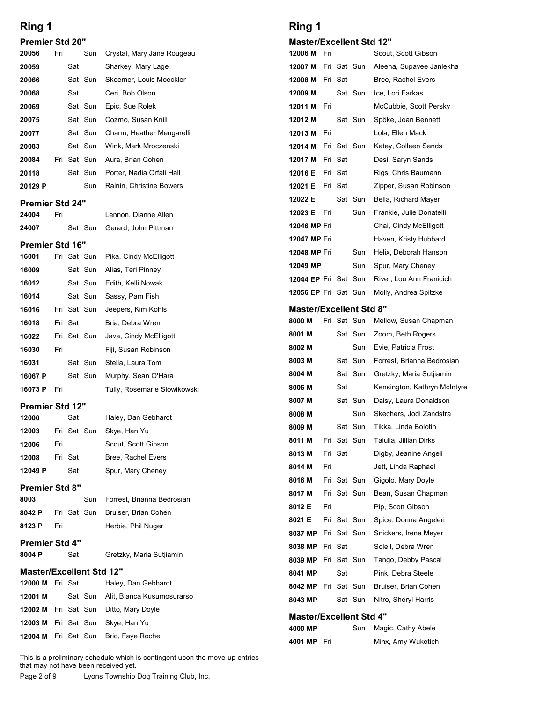#### Premier Std 20"

| Ring 1                 |     |         |             |                            | Ring 1                      |     |             |             |  |
|------------------------|-----|---------|-------------|----------------------------|-----------------------------|-----|-------------|-------------|--|
| <b>Premier Std 20"</b> |     |         |             |                            | <b>Master/Excellent Std</b> |     |             |             |  |
| 20056                  | Fri |         | Sun         | Crystal, Mary Jane Rougeau | 12006 M                     | Fri |             |             |  |
| 20059                  |     | Sat     |             | Sharkey, Mary Lage         | 12007 M                     |     |             | Fri Sat Sun |  |
| 20066                  |     |         | Sat Sun     | Skeemer, Louis Moeckler    | 12008 M                     |     | Fri Sat     |             |  |
| 20068                  |     | Sat     |             | Ceri, Bob Olson            | 12009 M                     |     |             | Sat Sun     |  |
| 20069                  |     |         | Sat Sun     | Epic, Sue Rolek            | 12011 M                     | Fri |             |             |  |
| 20075                  |     |         | Sat Sun     | Cozmo, Susan Knill         | 12012 M                     |     |             | Sat Sun     |  |
| 20077                  |     |         | Sat Sun     | Charm, Heather Mengarelli  | 12013 M                     | Fri |             |             |  |
| 20083                  |     |         | Sat Sun     | Wink, Mark Mroczenski      | 12014 M                     |     | Fri Sat Sun |             |  |
| 20084                  |     |         | Fri Sat Sun | Aura, Brian Cohen          | 12017 M                     |     | Fri Sat     |             |  |
| 20118                  |     |         | Sat Sun     | Porter, Nadia Orfali Hall  | 12016 E                     |     | Fri Sat     |             |  |
| 20129 P                |     |         | Sun         | Rainin, Christine Bowers   | 12021 E                     |     | Fri Sat     |             |  |
| <b>Premier Std 24"</b> |     |         |             |                            | 12022 E                     |     |             | Sat Sun     |  |
| 24004                  | Fri |         |             | Lennon, Dianne Allen       | 12023 E                     | Fri |             | Sun         |  |
| 24007                  |     |         | Sat Sun     | Gerard, John Pittman       | 12046 MP Fri                |     |             |             |  |
| Premier Std 16"        |     |         |             |                            | 12047 MP Fri                |     |             |             |  |
| 16001                  |     |         | Fri Sat Sun | Pika, Cindy McElligott     | 12048 MP Fri                |     |             | Sun         |  |
| 16009                  |     |         | Sat Sun     | Alias, Teri Pinney         | 12049 MP                    |     |             | Sun         |  |
| 16012                  |     |         | Sat Sun     | Edith, Kelli Nowak         | 12044 EP Fri Sat Sun        |     |             |             |  |
| 16014                  |     |         | Sat Sun     | Sassy, Pam Fish            | 12056 EP Fri Sat Sun        |     |             |             |  |
| 16016                  |     |         | Fri Sat Sun | Jeepers, Kim Kohls         | <b>Master/Excellent Std</b> |     |             |             |  |
| 16018                  |     | Fri Sat |             | Bria, Debra Wren           | 8000 M                      |     |             | Fri Sat Sun |  |

#### Premier Std 24"

#### Premier Std 16"

| 20068                         |     | Sat     |             | Ceri, Bob Olson              | 12009 M                    |     | Sat S     |    |
|-------------------------------|-----|---------|-------------|------------------------------|----------------------------|-----|-----------|----|
| 20069                         |     |         | Sat Sun     | Epic, Sue Rolek              | 12011 M                    | Fri |           |    |
| 20075                         |     |         | Sat Sun     | Cozmo, Susan Knill           | 12012 M                    |     | Sat Si    |    |
| 20077                         |     |         | Sat Sun     | Charm, Heather Mengarelli    | 12013 M                    | Fri |           |    |
| 20083                         |     |         | Sat Sun     | Wink, Mark Mroczenski        | 12014 M                    |     | Fri Sat S |    |
| 20084                         |     |         | Fri Sat Sun | Aura, Brian Cohen            | 12017 M                    |     | Fri Sat   |    |
| 20118                         |     |         | Sat Sun     | Porter, Nadia Orfali Hall    | 12016 E                    |     | Fri Sat   |    |
| 20129 P                       |     |         | Sun         | Rainin, Christine Bowers     | 12021 E                    |     | Fri Sat   |    |
| <b>Premier Std 24"</b>        |     |         |             |                              | 12022 E                    |     | Sat S     |    |
| 24004                         | Fri |         |             | Lennon, Dianne Allen         | 12023 E                    | Fri |           | S  |
| 24007                         |     |         | Sat Sun     | Gerard, John Pittman         | 12046 MP Fri               |     |           |    |
| <b>Premier Std 16"</b>        |     |         |             |                              | 12047 MP Fri               |     |           |    |
| 16001                         |     |         | Fri Sat Sun | Pika, Cindy McElligott       | 12048 MP Fri               |     |           | S  |
| 16009                         |     |         | Sat Sun     | Alias, Teri Pinney           | 12049 MP                   |     |           | S  |
| 16012                         |     |         | Sat Sun     | Edith, Kelli Nowak           | 12044 EP Fri Sat S         |     |           |    |
| 16014                         |     |         | Sat Sun     | Sassy, Pam Fish              | <b>12056 EP Fri Sat St</b> |     |           |    |
|                               |     |         |             |                              |                            |     |           |    |
| 16016                         |     |         | Fri Sat Sun | Jeepers, Kim Kohls           | Master/Excellent           |     |           |    |
| 16018                         |     | Fri Sat |             | Bria, Debra Wren             | 8000 M                     |     | Fri Sat S |    |
| 16022                         |     |         | Fri Sat Sun | Java, Cindy McElligott       | 8001 M                     |     | Sat Si    |    |
| 16030                         | Fri |         |             | Fiji, Susan Robinson         | 8002 M                     |     |           | S۱ |
| 16031                         |     |         | Sat Sun     | Stella, Laura Tom            | 8003 M                     |     | Sat Si    |    |
| 16067 P                       |     |         | Sat Sun     | Murphy, Sean O'Hara          | 8004 M                     |     | Sat S     |    |
| 16073 P                       | Fri |         |             | Tully, Rosemarie Slowikowski | 8006 M                     |     | Sat       |    |
| <b>Premier Std 12"</b>        |     |         |             |                              | 8007 M                     |     | Sat Si    |    |
| 12000                         |     | Sat     |             | Haley, Dan Gebhardt          | 8008 M                     |     |           | S١ |
| 12003                         |     |         | Fri Sat Sun | Skye, Han Yu                 | 8009 M                     |     | Sat Si    |    |
| 12006                         | Fri |         |             | Scout, Scott Gibson          | 8011 M                     |     | Fri Sat S |    |
| 12008                         |     | Fri Sat |             | Bree, Rachel Evers           | 8013 M                     |     | Fri Sat   |    |
| 12049 P                       |     | Sat     |             | Spur, Mary Cheney            | 8014 M                     | Fri |           |    |
|                               |     |         |             |                              | 8016 M                     |     | Fri Sat S |    |
| <b>Premier Std 8"</b><br>8003 |     |         | Sun         | Forrest, Brianna Bedrosian   | 8017 M                     | Fri | Fri Sat S |    |

#### Premier Std 12"

| 12000   | Sat     | Haley, Dan Gebhardt      | <b>OUUO IVI</b> |   |
|---------|---------|--------------------------|-----------------|---|
| 12003   |         | Fri Sat Sun Skye, Han Yu | 8009 M          |   |
| 12006   | Fri     | Scout, Scott Gibson      | 8011 M          | F |
| 12008   | Fri Sat | Bree, Rachel Evers       | 8013 M          | F |
| 12049 P | Sat     | Spur, Mary Cheney        | 8014 M          |   |
|         |         |                          | <b>0040.BE</b>  |   |

#### Premier Std 8"

| 8003   |     | Sun Forrest, Brianna Bedrosian   | 80/17.MI FII SAL      |  |
|--------|-----|----------------------------------|-----------------------|--|
|        |     |                                  | 8012 E Fri            |  |
| 8042 P |     | Fri Sat Sun Bruiser, Brian Cohen |                       |  |
| 8123 P | Fri | Herbie, Phil Nuger               | <b>8021 E</b> Fri Sat |  |
|        |     |                                  | 8037 MP Fri Sat       |  |

#### Premier Std 4"

#### Master/Excellent Std 12"

|                                 | .           |             |         | i iji, Uusali Rubilisuli                                                                                            |                                |     |         |             |                                    |
|---------------------------------|-------------|-------------|---------|---------------------------------------------------------------------------------------------------------------------|--------------------------------|-----|---------|-------------|------------------------------------|
| 16031                           |             |             | Sat Sun | Stella, Laura Tom                                                                                                   | 8003 M                         |     |         |             | Sat Sun Forrest, Brianna Bedrosian |
| 16067 P                         |             |             | Sat Sun | Murphy, Sean O'Hara                                                                                                 | 8004 M                         |     |         | Sat Sun     | Gretzky, Maria Sutjiamin           |
| 16073 P Fri                     |             |             |         | Tully, Rosemarie Slowikowski                                                                                        | 8006 M                         |     | Sat     |             | Kensington, Kathryn McIntyre       |
| Premier Std 12"                 |             |             |         |                                                                                                                     | 8007 M                         |     |         | Sat Sun     | Daisy, Laura Donaldson             |
| 12000                           |             | Sat         |         | Haley, Dan Gebhardt                                                                                                 | 8008 M                         |     |         | Sun         | Skechers, Jodi Zandstra            |
| 12003                           |             | Fri Sat Sun |         | Skye, Han Yu                                                                                                        | 8009 M                         |     |         | Sat Sun     | Tikka, Linda Bolotin               |
| 12006                           | Fri         |             |         | Scout, Scott Gibson                                                                                                 | 8011 M                         |     |         | Fri Sat Sun | Talulla, Jillian Dirks             |
| 12008                           |             | Fri Sat     |         | Bree, Rachel Evers                                                                                                  | 8013 M                         |     | Fri Sat |             | Digby, Jeanine Angeli              |
| 12049 P                         |             | Sat         |         | Spur, Mary Cheney                                                                                                   | 8014 M                         | Fri |         |             | Jett, Linda Raphael                |
|                                 |             |             |         |                                                                                                                     | 8016 M                         |     |         | Fri Sat Sun | Gigolo, Mary Doyle                 |
| Premier Std 8"<br>8003          |             |             | Sun     | Forrest, Brianna Bedrosian                                                                                          | 8017 M                         |     |         | Fri Sat Sun | Bean, Susan Chapman                |
| 8042 P                          |             | Fri Sat Sun |         | Bruiser, Brian Cohen                                                                                                | 8012 E                         | Fri |         |             | Pip, Scott Gibson                  |
| 8123 P                          | Fri         |             |         | Herbie, Phil Nuger                                                                                                  | 8021 E                         |     |         | Fri Sat Sun | Spice, Donna Angeleri              |
|                                 |             |             |         |                                                                                                                     | 8037 MP                        |     |         | Fri Sat Sun | Snickers, Irene Meyer              |
| Premier Std 4"                  |             |             |         |                                                                                                                     | 8038 MP Fri Sat                |     |         |             | Soleil, Debra Wren                 |
| 8004 P                          |             | Sat         |         | Gretzky, Maria Sutjiamin                                                                                            | 8039 MP Fri Sat Sun            |     |         |             | Tango, Debby Pascal                |
| <b>Master/Excellent Std 12"</b> |             |             |         |                                                                                                                     | 8041 MP                        |     | Sat     |             | Pink, Debra Steele                 |
| 12000 M Fri Sat                 |             |             |         | Haley, Dan Gebhardt                                                                                                 | 8042 MP Fri Sat Sun            |     |         |             | Bruiser, Brian Cohen               |
| 12001 M                         |             |             | Sat Sun | Alit, Blanca Kusumosurarso                                                                                          | 8043 MP                        |     |         | Sat Sun     | Nitro, Sheryl Harris               |
| <b>12002 M</b> Fri Sat Sun      |             |             |         | Ditto, Mary Doyle                                                                                                   | <b>Master/Excellent Std 4"</b> |     |         |             |                                    |
| 12003 M Fri Sat Sun             |             |             |         | Skye, Han Yu                                                                                                        | 4000 MP                        |     |         | Sun         | Magic, Cathy Abele                 |
| 12004 M Fri Sat Sun             |             |             |         | Brio, Faye Roche                                                                                                    | 4001 MP Fri                    |     |         |             | Minx, Amy Wukotich                 |
|                                 |             |             |         | This is a preliminary schedule which is contingent upon the move-up entries<br>that may not have been received yet. |                                |     |         |             |                                    |
|                                 | Page 2 of 9 |             |         | Lyons Township Dog Training Club, Inc.                                                                              |                                |     |         |             |                                    |

### Ring 1

#### Master/Excellent Std 12"

| Ring 1                          |         |             |                                       | Ring 1                          |         |             |                              |
|---------------------------------|---------|-------------|---------------------------------------|---------------------------------|---------|-------------|------------------------------|
| <b>Premier Std 20"</b>          |         |             |                                       | <b>Master/Excellent Std 12"</b> |         |             |                              |
| 20056                           | Fri     | Sun         | Crystal, Mary Jane Rougeau            | 12006 M Fri                     |         |             | Scout, Scott Gibson          |
| 20059                           | Sat     |             | Sharkey, Mary Lage                    | 12007 M                         |         | Fri Sat Sun | Aleena, Supavee Janlekha     |
| 20066                           |         | Sat Sun     | Skeemer, Louis Moeckler               | <b>12008 M</b> Fri Sat          |         |             | Bree, Rachel Evers           |
| 20068                           | Sat     |             | Ceri, Bob Olson                       | 12009 M                         |         | Sat Sun     | Ice, Lori Farkas             |
| 20069                           |         | Sat Sun     | Epic, Sue Rolek                       | 12011 M Fri                     |         |             | McCubbie, Scott Persky       |
| 20075                           |         | Sat Sun     | Cozmo, Susan Knill                    | 12012 M                         |         | Sat Sun     | Spöke, Joan Bennett          |
| 20077                           |         | Sat Sun     | Charm, Heather Mengarelli             | 12013 M Fri                     |         |             | Lola, Ellen Mack             |
| 20083                           |         | Sat Sun     | Wink, Mark Mroczenski                 | 12014 M                         |         | Fri Sat Sun | Katey, Colleen Sands         |
| 20084                           |         | Fri Sat Sun | Aura, Brian Cohen                     | 12017 M                         | Fri Sat |             | Desi, Saryn Sands            |
| 20118                           |         | Sat Sun     | Porter, Nadia Orfali Hall             | 12016 E                         | Fri Sat |             | Rigs, Chris Baumann          |
| 20129 P                         |         | Sun         | Rainin, Christine Bowers              | 12021 E                         | Fri Sat |             | Zipper, Susan Robinson       |
| Premier Std 24"                 |         |             |                                       | 12022 E                         |         | Sat Sun     | Bella, Richard Mayer         |
| 24004                           | Fri     |             | Lennon, Dianne Allen                  | Fri<br>12023 E                  |         | Sun         | Frankie, Julie Donatelli     |
| 24007                           |         | Sat Sun     | Gerard, John Pittman                  | 12046 MP Fri                    |         |             | Chai, Cindy McElligott       |
| Premier Std 16"                 |         |             |                                       | 12047 MP Fri                    |         |             | Haven, Kristy Hubbard        |
| 16001                           |         | Fri Sat Sun | Pika, Cindy McElligott                | 12048 MP Fri                    |         | Sun         | Helix, Deborah Hanson        |
| 16009                           |         | Sat Sun     | Alias, Teri Pinney                    | 12049 MP                        |         | Sun         | Spur, Mary Cheney            |
| 16012                           |         | Sat Sun     | Edith, Kelli Nowak                    | 12044 EP Fri Sat Sun            |         |             | River, Lou Ann Franicich     |
| 16014                           |         | Sat Sun     | Sassy, Pam Fish                       | 12056 EP Fri Sat Sun            |         |             | Molly, Andrea Spitzke        |
| 16016                           |         | Fri Sat Sun | Jeepers, Kim Kohls                    | <b>Master/Excellent Std 8"</b>  |         |             |                              |
| 16018                           | Fri Sat |             | Bria, Debra Wren                      | 8000 M                          |         | Fri Sat Sun | Mellow, Susan Chapman        |
| 16022                           |         | Fri Sat Sun | Java, Cindy McElligott                | 8001 M                          |         | Sat Sun     | Zoom, Beth Rogers            |
| 16030                           | Fri     |             | Fiji, Susan Robinson                  | 8002 M                          |         | Sun         | Evie, Patricia Frost         |
| 16031                           |         | Sat Sun     | Stella, Laura Tom                     | 8003 M                          |         | Sat Sun     | Forrest, Brianna Bedrosian   |
| 16067 P                         |         | Sat Sun     | Murphy, Sean O'Hara                   | 8004 M                          |         | Sat Sun     | Gretzky, Maria Sutjiamin     |
| 16073 P Fri                     |         |             | Tully, Rosemarie Slowikowski          | 8006 M                          | Sat     |             | Kensington, Kathryn McIntyre |
|                                 |         |             |                                       | 8007 M                          |         | Sat Sun     | Daisy, Laura Donaldson       |
| Premier Std 12"<br>12000        | Sat     |             | Haley, Dan Gebhardt                   | 8008 M                          |         | Sun         | Skechers, Jodi Zandstra      |
| 12003                           |         | Fri Sat Sun | Skye, Han Yu                          | 8009 M                          |         | Sat Sun     | Tikka, Linda Bolotin         |
| 12006                           | Fri     |             | Scout, Scott Gibson                   | 8011 M                          |         | Fri Sat Sun | Talulla, Jillian Dirks       |
| 12008                           | Fri Sat |             | Bree, Rachel Evers                    | 8013 M                          | Fri Sat |             | Digby, Jeanine Angeli        |
| 12049 P                         | Sat     |             | Spur, Mary Cheney                     | 8014 M<br>Fri                   |         |             | Jett, Linda Raphael          |
|                                 |         |             |                                       | 8016 M                          |         | Fri Sat Sun | Gigolo, Mary Doyle           |
| Premier Std 8"                  |         |             |                                       | 8017 M                          |         | Fri Sat Sun | Bean, Susan Chapman          |
| 8003                            |         | Sun         | Forrest, Brianna Bedrosian            | 8012 E<br>Fri                   |         |             | Pip, Scott Gibson            |
| 8042 P                          |         | Fri Sat Sun | Bruiser, Brian Cohen                  | 8021 E                          |         | Fri Sat Sun | Spice, Donna Angeleri        |
| 8123 P                          | Fri     |             | Herbie, Phil Nuger                    | 8037 MP Fri Sat Sun             |         |             | Snickers, Irene Meyer        |
| Premier Std 4"                  |         |             |                                       | <b>8038 MP</b> Fri Sat          |         |             | Soleil, Debra Wren           |
| 8004 P                          | Sat     |             | Gretzky, Maria Sutjiamin              | 8039 MP Fri Sat Sun             |         |             | Tango, Debby Pascal          |
| <b>Master/Excellent Std 12"</b> |         |             |                                       | 8041 MP                         | Sat     |             | Pink, Debra Steele           |
| 12000 M Fri Sat                 |         |             | Haley, Dan Gebhardt                   | 8042 MP Fri Sat Sun             |         |             | Bruiser, Brian Cohen         |
| 12001 M                         |         |             | Sat Sun Alit, Blanca Kusumosurarso    | 8043 MP                         |         | Sat Sun     | Nitro, Sheryl Harris         |
|                                 |         |             | 12002 M Fri Sat Sun Ditto, Mary Doyle |                                 |         |             |                              |
|                                 |         |             | 12003 M Fri Sat Sun Skye, Han Yu      | <b>Master/Excellent Std 4"</b>  |         |             |                              |
|                                 |         |             |                                       | 4000 MP                         |         |             | Sun Magic, Cathy Abele       |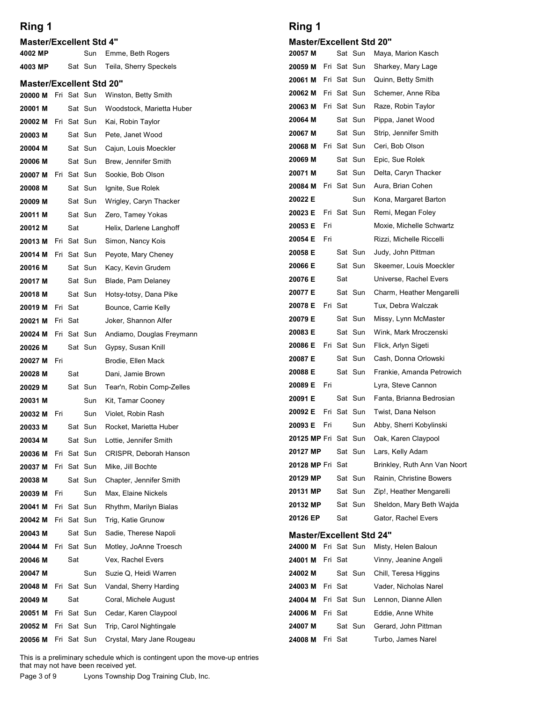## Ring 1

| Ring 1<br><b>Master/Excellent Std 4"</b><br>4002 MP<br>Emme, Beth Rogers<br>Sun                | Ring 1                          |                        |                                                 |
|------------------------------------------------------------------------------------------------|---------------------------------|------------------------|-------------------------------------------------|
|                                                                                                |                                 |                        |                                                 |
|                                                                                                | <b>Master/Excellent Std 20"</b> |                        |                                                 |
|                                                                                                | 20057 M                         |                        | Sat Sun Maya, Marion Kasch                      |
| Teila, Sherry Speckels<br>4003 MP<br>Sat Sun                                                   |                                 |                        | 20059 M Fri Sat Sun Sharkey, Mary Lage          |
| <b>Master/Excellent Std 20"</b>                                                                | <b>20061 M</b> Fri Sat Sun      |                        | Quinn, Betty Smith                              |
| <b>20000 M</b> Fri Sat Sun<br>Winston, Betty Smith                                             | 20063 M Fri Sat Sun             |                        | 20062 M Fri Sat Sun Schemer, Anne Riba          |
| 20001 M<br>Sat Sun<br>Woodstock, Marietta Huber<br>20002 M Fri Sat Sun                         | 20064 M                         | Sat Sun                | Raze, Robin Taylor<br>Pippa, Janet Wood         |
| Kai, Robin Taylor<br>20003 M<br>Sat Sun<br>Pete, Janet Wood                                    | 20067 M                         | Sat Sun                | Strip, Jennifer Smith                           |
| 20004 M<br>Sat Sun<br>Cajun, Louis Moeckler                                                    | 20068 M Fri Sat Sun             |                        | Ceri, Bob Olson                                 |
| 20006 M<br>Sat Sun<br>Brew, Jennifer Smith                                                     | 20069 M                         | Sat Sun                | Epic, Sue Rolek                                 |
| 20007 M Fri Sat Sun<br>Sookie, Bob Olson                                                       | 20071 M                         | Sat Sun                | Delta, Caryn Thacker                            |
| Sat Sun<br>Ignite, Sue Rolek<br>20008 M                                                        | 20084 M                         | Fri Sat Sun            | Aura, Brian Cohen                               |
| Wrigley, Caryn Thacker<br>20009 M<br>Sat Sun                                                   | 20022 E<br>20023 E              | Sun<br>Fri Sat Sun     | Kona, Margaret Barton<br>Remi, Megan Foley      |
| Sat Sun<br>Zero, Tamey Yokas<br>20011 M<br>Sat<br>20012 M<br>Helix, Darlene Langhoff           | 20053 E Fri                     |                        | Moxie, Michelle Schwartz                        |
| Fri Sat Sun<br>20013 M<br>Simon, Nancy Kois                                                    | Fri<br>20054 E                  |                        | Rizzi, Michelle Riccelli                        |
| Fri Sat Sun<br>20014 M<br>Peyote, Mary Cheney                                                  | 20058 E                         | Sat Sun                | Judy, John Pittman                              |
| 20016 M<br>Sat Sun<br>Kacy, Kevin Grudem                                                       | 20066 E                         | Sat Sun                | Skeemer, Louis Moeckler                         |
| Sat Sun<br>Blade, Pam Delaney<br>20017 M                                                       | 20076 E                         | Sat                    | Universe, Rachel Evers                          |
| Sat Sun<br>20018 M<br>Hotsy-totsy, Dana Pike                                                   | 20077 E<br>20078 E Fri Sat      | Sat Sun                | Charm, Heather Mengarelli<br>Tux, Debra Walczak |
| 20019 M Fri Sat<br>Bounce, Carrie Kelly<br>20021 M<br>Fri Sat<br>Joker, Shannon Alfer          | 20079 E                         | Sat Sun                | Missy, Lynn McMaster                            |
| Fri Sat Sun<br>Andiamo, Douglas Freymann<br>20024 M                                            | 20083 E                         | Sat Sun                | Wink, Mark Mroczenski                           |
| 20026 M<br>Sat Sun<br>Gypsy, Susan Knill                                                       | 20086 E Fri Sat Sun             |                        | Flick, Arlyn Sigeti                             |
| 20027 M Fri<br>Brodie, Ellen Mack                                                              | 20087 E                         | Sat Sun                | Cash, Donna Orlowski                            |
| Sat<br>20028 M<br>Dani, Jamie Brown                                                            | 20088 E                         | Sat Sun                | Frankie, Amanda Petrowich                       |
| Tear'n, Robin Comp-Zelles<br>20029 M<br>Sat Sun                                                | 20089 E Fri                     |                        | Lyra, Steve Cannon                              |
| 20031 M<br>Sun<br>Kit, Tamar Cooney                                                            | 20091 E<br>20092 E              | Sat Sun<br>Fri Sat Sun | Fanta, Brianna Bedrosian<br>Twist, Dana Nelson  |
| 20032 M Fri<br>Sun<br>Violet, Robin Rash<br>20033 M<br>Sat Sun<br>Rocket, Marietta Huber       | 20093 E Fri                     | Sun                    | Abby, Sherri Kobylinski                         |
| Sat Sun<br>Lottie, Jennifer Smith<br>20034 M                                                   | 20125 MP Fri Sat Sun            |                        | Oak, Karen Claypool                             |
| Fri Sat Sun<br>20036 M<br>CRISPR, Deborah Hanson                                               | 20127 MP                        | Sat Sun                | Lars, Kelly Adam                                |
| Fri Sat Sun<br>Mike, Jill Bochte<br>20037 M                                                    | 20128 MP Fri Sat                |                        | Brinkley, Ruth Ann Van Noort                    |
| 20038 M<br>Sat Sun<br>Chapter, Jennifer Smith                                                  | 20129 MP                        | Sat Sun                | Rainin, Christine Bowers                        |
| 20039 M Fri<br>Sun<br>Max, Elaine Nickels                                                      | 20131 MP                        | Sat Sun                | Zip!, Heather Mengarelli                        |
| Sat Sun<br>20041 M<br>Fri<br>Rhythm, Marilyn Bialas                                            | 20132 MP<br>20126 EP            | Sat Sun<br>Sat         | Sheldon, Mary Beth Wajda<br>Gator, Rachel Evers |
| Fri Sat Sun<br>20042 M<br>Trig, Katie Grunow<br>20043 M<br>Sat Sun<br>Sadie, Therese Napoli    | <b>Master/Excellent Std 24"</b> |                        |                                                 |
| Fri Sat Sun<br>Motley, JoAnne Troesch<br>20044 M                                               |                                 |                        | 24000 M Fri Sat Sun Misty, Helen Baloun         |
| Sat<br>20046 M<br>Vex, Rachel Evers                                                            | 24001 M Fri Sat                 |                        | Vinny, Jeanine Angeli                           |
| 20047 M<br>Sun<br>Suzie Q, Heidi Warren                                                        | 24002 M                         | Sat Sun                | Chill, Teresa Higgins                           |
| Fri Sat Sun<br>Vandal, Sherry Harding<br>20048 M                                               | Fri Sat<br>24003 M              |                        | Vader, Nicholas Narel                           |
| 20049 M<br>Sat<br>Coral, Michele August                                                        | 24004 M                         | Fri Sat Sun            | Lennon, Dianne Allen                            |
| Fri Sat Sun<br>Cedar, Karen Claypool<br>20051 M<br>20052 M Fri Sat Sun Trip, Carol Nightingale | 24006 M Fri Sat<br>24007 M      | Sat Sun                | Eddie, Anne White<br>Gerard, John Pittman       |
| 20056 M Fri Sat Sun Crystal, Mary Jane Rougeau                                                 | 24008 M Fri Sat                 |                        | Turbo, James Narel                              |
| This is a preliminary schedule which is contingent upon the move-up entries                    |                                 |                        |                                                 |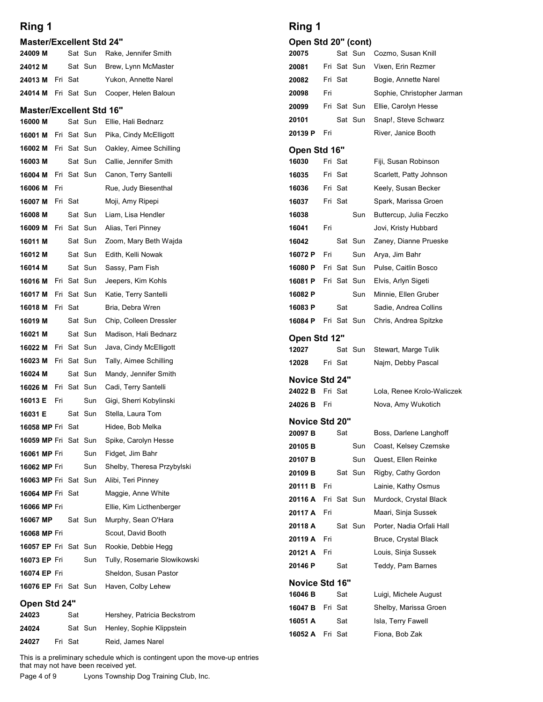| Ring 1                          |     |         |                        |                                                                                                                                                               | Ring 1                |     |                |                            |  |
|---------------------------------|-----|---------|------------------------|---------------------------------------------------------------------------------------------------------------------------------------------------------------|-----------------------|-----|----------------|----------------------------|--|
| <b>Master/Excellent Std 24"</b> |     |         |                        |                                                                                                                                                               | Open Std 20" (cont)   |     |                |                            |  |
| 24009 M                         |     |         | Sat Sun                | Rake, Jennifer Smith                                                                                                                                          | 20075                 |     |                | Sat Sun                    |  |
| 24012 M                         |     |         | Sat Sun                | Brew, Lynn McMaster                                                                                                                                           | 20081                 |     |                | Fri Sat Sun                |  |
| 24013 M Fri Sat                 |     |         |                        | Yukon, Annette Narel                                                                                                                                          | 20082                 |     | Fri Sat        |                            |  |
| 24014 M                         |     |         | Fri Sat Sun            | Cooper, Helen Baloun                                                                                                                                          | 20098                 | Fri |                |                            |  |
| <b>Master/Excellent Std 16"</b> |     |         |                        |                                                                                                                                                               | 20099                 |     |                | Fri Sat Sun                |  |
| 16000 M                         |     |         | Sat Sun                | Ellie, Hali Bednarz                                                                                                                                           | 20101<br>20139 P      | Fri |                | Sat Sun                    |  |
| 16001 M                         |     |         | Fri Sat Sun            | Pika, Cindy McElligott                                                                                                                                        |                       |     |                |                            |  |
| 16002 M<br>16003 M              |     |         | Fri Sat Sun<br>Sat Sun | Oakley, Aimee Schilling<br>Callie, Jennifer Smith                                                                                                             | Open Std 16"<br>16030 |     | Fri Sat        |                            |  |
| 16004 M                         |     |         | Fri Sat Sun            | Canon, Terry Santelli                                                                                                                                         | 16035                 |     | Fri Sat        |                            |  |
| 16006 M                         | Fri |         |                        | Rue, Judy Biesenthal                                                                                                                                          | 16036                 |     | Fri Sat        |                            |  |
| 16007 M                         |     | Fri Sat |                        | Moji, Amy Ripepi                                                                                                                                              | 16037                 |     | Fri Sat        |                            |  |
| 16008 M                         |     |         | Sat Sun                | Liam. Lisa Hendler                                                                                                                                            | 16038                 |     |                | Sun                        |  |
| <b>16009 M</b> Fri Sat Sun      |     |         |                        | Alias, Teri Pinney                                                                                                                                            | 16041                 | Fri |                |                            |  |
| 16011 M                         |     |         | Sat Sun                | Zoom, Mary Beth Wajda                                                                                                                                         | 16042                 |     |                | Sat Sun                    |  |
| 16012 M                         |     |         | Sat Sun                | Edith, Kelli Nowak                                                                                                                                            | 16072 P               | Fri |                | Sun                        |  |
| 16014 M<br>16016 M              |     |         | Sat Sun<br>Fri Sat Sun | Sassy, Pam Fish<br>Jeepers, Kim Kohls                                                                                                                         | 16080 P<br>16081 P    |     |                | Fri Sat Sun<br>Fri Sat Sun |  |
| 16017 M                         |     |         | Fri Sat Sun            | Katie, Terry Santelli                                                                                                                                         | 16082 P               |     |                | Sun                        |  |
| 16018 M                         |     | Fri Sat |                        | Bria, Debra Wren                                                                                                                                              | 16083 P               |     | Sat            |                            |  |
| 16019 M                         |     |         | Sat Sun                | Chip, Colleen Dressler                                                                                                                                        | 16084 P               |     |                | Fri Sat Sun                |  |
| 16021 M                         |     |         | Sat Sun                | Madison, Hali Bednarz                                                                                                                                         | Open Std 12"          |     |                |                            |  |
| <b>16022 M</b> Fri Sat Sun      |     |         |                        | Java, Cindy McElligott                                                                                                                                        | 12027                 |     |                | Sat Sun                    |  |
| <b>16023 M</b> Fri Sat Sun      |     |         |                        | Tally, Aimee Schilling                                                                                                                                        | 12028                 |     | Fri Sat        |                            |  |
| 16024 M                         |     |         | Sat Sun                | Mandy, Jennifer Smith                                                                                                                                         | Novice Std 24"        |     |                |                            |  |
| 16026 M                         |     |         | Fri Sat Sun            | Cadi, Terry Santelli                                                                                                                                          | 24022 B               |     | Fri Sat        |                            |  |
| 16013 E<br>16031 E              | Fri |         | Sun<br>Sat Sun         | Gigi, Sherri Kobylinski<br>Stella, Laura Tom                                                                                                                  | 24026B                | Fri |                |                            |  |
| <b>16058 MP Fri Sat</b>         |     |         |                        | Hidee, Bob Melka                                                                                                                                              | Novice Std 20"        |     |                |                            |  |
| <b>16059 MP Fri Sat Sun</b>     |     |         |                        | Spike, Carolyn Hesse                                                                                                                                          | 20097 B               |     | Sat            |                            |  |
| 16061 MP Fri                    |     |         | Sun                    | Fidget, Jim Bahr                                                                                                                                              | 20105B                |     |                | Sun                        |  |
| 16062 MP Fri                    |     |         | Sun                    | Shelby, Theresa Przybylski                                                                                                                                    | 20107 B<br>20109 B    |     |                | Sun<br>Sat Sun             |  |
| <b>16063 MP Fri Sat Sun</b>     |     |         |                        | Alibi, Teri Pinney                                                                                                                                            | 20111 B               | Fri |                |                            |  |
| <b>16064 MP Fri Sat</b>         |     |         |                        | Maggie, Anne White                                                                                                                                            | 20116 A               |     |                | Fri Sat Sun                |  |
| 16066 MP Fri                    |     |         |                        | Ellie, Kim Licthenberger                                                                                                                                      | 20117 A               | Fri |                |                            |  |
| 16067 MP<br>16068 MP Fri        |     |         | Sat Sun                | Murphy, Sean O'Hara<br>Scout, David Booth                                                                                                                     | 20118 A               |     |                | Sat Sun                    |  |
| 16057 EP Fri Sat Sun            |     |         |                        | Rookie, Debbie Hegg                                                                                                                                           | 20119 A               | Fri |                |                            |  |
| 16073 EP Fri                    |     |         | Sun                    | Tully, Rosemarie Slowikowski                                                                                                                                  | 20121 A               | Fri |                |                            |  |
| 16074 EP Fri                    |     |         |                        | Sheldon, Susan Pastor                                                                                                                                         | 20146 P               |     | Sat            |                            |  |
| <b>16076 EP</b> Fri Sat Sun     |     |         |                        | Haven, Colby Lehew                                                                                                                                            | Novice Std 16"        |     |                |                            |  |
| Open Std 24"                    |     |         |                        |                                                                                                                                                               | 16046 B<br>16047 B    |     | Sat<br>Fri Sat |                            |  |
| 24023                           |     | Sat     |                        | Hershey, Patricia Beckstrom                                                                                                                                   | 16051 A               |     | Sat            |                            |  |
| 24024                           |     |         | Sat Sun                | Henley, Sophie Klippstein                                                                                                                                     | 16052 A               |     | Fri Sat        |                            |  |
| 24027                           |     | Fri Sat |                        | Reid, James Narel                                                                                                                                             |                       |     |                |                            |  |
| Page 4 of 9                     |     |         |                        | This is a preliminary schedule which is contingent upon the move-up entries<br>that may not have been received yet.<br>Lyons Township Dog Training Club, Inc. |                       |     |                |                            |  |

| Ring 1              |  |
|---------------------|--|
| Open Std 20" (cont) |  |

| Ring 1                          |         |         |                                          | Ring 1              |                            |         |                                             |
|---------------------------------|---------|---------|------------------------------------------|---------------------|----------------------------|---------|---------------------------------------------|
| <b>Master/Excellent Std 24"</b> |         |         |                                          | Open Std 20" (cont) |                            |         |                                             |
| 24009 M                         |         | Sat Sun | Rake, Jennifer Smith                     | 20075               |                            | Sat Sun | Cozmo, Susan Knill                          |
| 24012 M                         |         | Sat Sun | Brew, Lynn McMaster                      | 20081               | Fri Sat Sun                |         | Vixen, Erin Rezmer                          |
| <b>24013 M</b> Fri Sat          |         |         | Yukon, Annette Narel                     | 20082               | Fri Sat                    |         | Bogie, Annette Narel                        |
|                                 |         |         | 24014 M Fri Sat Sun Cooper, Helen Baloun | 20098               | Fri                        |         | Sophie, Christopher Jarman                  |
| <b>Master/Excellent Std 16"</b> |         |         |                                          | 20099               | Fri Sat Sun                |         | Ellie, Carolyn Hesse                        |
| 16000 M                         |         | Sat Sun | Ellie, Hali Bednarz                      | 20101               |                            | Sat Sun | Snap!, Steve Schwarz                        |
| 16001 M Fri Sat Sun             |         |         | Pika, Cindy McElligott                   | 20139 P             | Fri                        |         | River, Janice Booth                         |
| <b>16002 M</b> Fri Sat Sun      |         |         | Oakley, Aimee Schilling                  | Open Std 16"        |                            |         |                                             |
| 16003 M                         |         | Sat Sun | Callie, Jennifer Smith                   | 16030               | Fri Sat                    |         | Fiji, Susan Robinson                        |
| <b>16004 M</b> Fri Sat Sun      |         |         | Canon, Terry Santelli                    | 16035               | Fri Sat                    |         | Scarlett, Patty Johnson                     |
| <b>16006 M</b> Fri              |         |         | Rue, Judy Biesenthal                     | 16036               | Fri Sat                    |         | Keely, Susan Becker                         |
| <b>16007 M</b> Fri Sat          |         |         | Moji, Amy Ripepi                         | 16037               | Fri Sat                    |         | Spark, Marissa Groen                        |
| 16008 M                         |         | Sat Sun | Liam, Lisa Hendler                       | 16038               |                            | Sun     | Buttercup, Julia Feczko                     |
|                                 |         |         | 16009 M Fri Sat Sun Alias, Teri Pinney   | 16041               | Fri                        |         | Jovi, Kristy Hubbard                        |
| 16011 M                         |         | Sat Sun | Zoom, Mary Beth Wajda                    | 16042               |                            | Sat Sun | Zaney, Dianne Prueske                       |
| 16012 M                         |         | Sat Sun | Edith, Kelli Nowak                       | 16072 P             | Fri                        | Sun     | Arya, Jim Bahr                              |
| 16014 M<br>16016 M Fri Sat Sun  |         | Sat Sun | Sassy, Pam Fish<br>Jeepers, Kim Kohls    | 16080 P<br>16081 P  | Fri Sat Sun<br>Fri Sat Sun |         | Pulse, Caitlin Bosco<br>Elvis, Arlyn Sigeti |
| 16017 M Fri Sat Sun             |         |         | Katie, Terry Santelli                    | 16082 P             |                            | Sun     | Minnie, Ellen Gruber                        |
| 16018 M Fri Sat                 |         |         | Bria, Debra Wren                         | 16083 P             | Sat                        |         | Sadie, Andrea Collins                       |
| 16019 M                         |         | Sat Sun | Chip, Colleen Dressler                   | 16084 P             | Fri Sat Sun                |         | Chris, Andrea Spitzke                       |
| 16021 M                         |         | Sat Sun | Madison, Hali Bednarz                    |                     |                            |         |                                             |
| 16022 M Fri Sat Sun             |         |         | Java, Cindy McElligott                   | Open Std 12"        |                            |         |                                             |
| 16023 M Fri Sat Sun             |         |         | Tally, Aimee Schilling                   | 12027<br>12028      | Fri Sat                    | Sat Sun | Stewart, Marge Tulik<br>Najm, Debby Pascal  |
| 16024 M                         |         | Sat Sun | Mandy, Jennifer Smith                    |                     |                            |         |                                             |
| 16026 M Fri Sat Sun             |         |         | Cadi, Terry Santelli                     | Novice Std 24"      |                            |         |                                             |
| 16013 E Fri                     |         | Sun     | Gigi, Sherri Kobylinski                  | 24022 B             | Fri Sat                    |         | Lola, Renee Krolo-Waliczek                  |
| 16031 E                         |         | Sat Sun | Stella, Laura Tom                        | 24026 B             | Fri                        |         | Nova, Amy Wukotich                          |
| 16058 MP Fri Sat                |         |         | Hidee, Bob Melka                         | Novice Std 20"      |                            |         |                                             |
| 16059 MP Fri Sat Sun            |         |         | Spike, Carolyn Hesse                     | 20097B              | Sat                        |         | Boss, Darlene Langhoff                      |
| 16061 MP Fri                    |         | Sun     | Fidget, Jim Bahr                         | 20105 <sub>B</sub>  |                            | Sun     | Coast, Kelsey Czemske                       |
| 16062 MP Fri                    |         | Sun     | Shelby, Theresa Przybylski               | 20107 <sub>B</sub>  |                            | Sun     | Quest, Ellen Reinke                         |
| 16063 MP Fri Sat Sun            |         |         | Alibi, Teri Pinney                       | 20109 <sub>B</sub>  |                            | Sat Sun | Rigby, Cathy Gordon                         |
| 16064 MP Fri Sat                |         |         | Maggie, Anne White                       | 20111 B             | Fri                        |         | Lainie, Kathy Osmus                         |
| 16066 MP Fri                    |         |         | Ellie, Kim Licthenberger                 | 20116 A             | Fri Sat Sun                |         | Murdock, Crystal Black                      |
| 16067 MP                        |         | Sat Sun | Murphy, Sean O'Hara                      | 20117 A             | Fri                        |         | Maari, Sinja Sussek                         |
| 16068 MP Fri                    |         |         | Scout, David Booth                       | 20118 A             | Fri                        | Sat Sun | Porter, Nadia Orfali Hall                   |
| 16057 EP Fri Sat Sun            |         |         | Rookie, Debbie Hegg                      | 20119 A<br>20121 A  | Fri                        |         | Bruce, Crystal Black<br>Louis, Sinja Sussek |
| 16073 EP Fri                    |         | Sun     | Tully, Rosemarie Slowikowski             | 20146 P             | Sat                        |         | Teddy, Pam Barnes                           |
| 16074 EP Fri                    |         |         | Sheldon, Susan Pastor                    |                     |                            |         |                                             |
| 16076 EP Fri Sat Sun            |         |         | Haven, Colby Lehew                       | Novice Std 16"      |                            |         |                                             |
| Open Std 24"                    |         |         |                                          | 16046 B             |                            | Sat     | Luigi, Michele August                       |
| 24023                           | Sat     |         | Hershey, Patricia Beckstrom              | 16047 B             | Fri Sat                    |         | Shelby, Marissa Groen                       |
| 24024                           |         |         | Sat Sun Henley, Sophie Klippstein        | 16051 A             |                            | Sat     | Isla, Terry Fawell                          |
|                                 | Fri Sat |         | Reid, James Narel                        | 16052 A Fri Sat     |                            |         | Fiona, Bob Zak                              |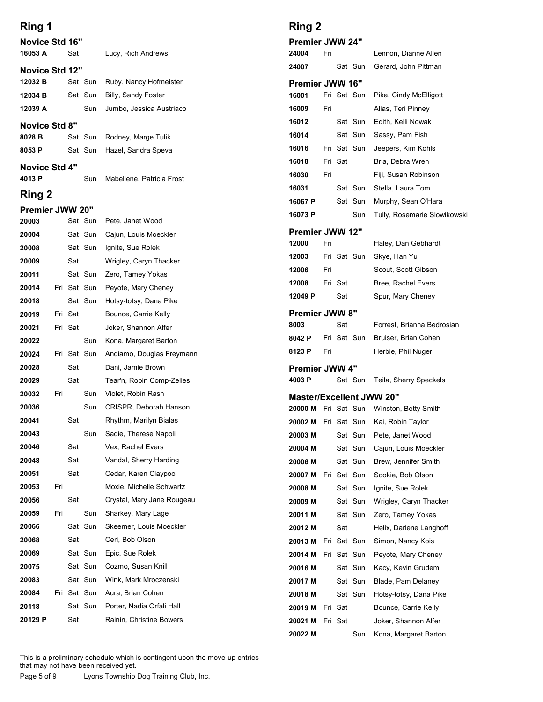| Lucy, Rich Andrews<br>Ruby, Nancy Hofmeister<br>Billy, Sandy Foster<br>Jumbo, Jessica Austriaco<br>Rodney, Marge Tulik<br>Hazel, Sandra Speva<br>Mabellene, Patricia Frost<br>Pete, Janet Wood<br>Cajun, Louis Moeckler<br>Sat Sun Ignite, Sue Rolek<br>Wrigley, Caryn Thacker<br>Zero, Tamey Yokas<br>Peyote, Mary Cheney<br>Hotsy-totsy, Dana Pike<br>Bounce, Carrie Kelly | Premier JWW 24"<br>24004<br>24007<br><b>Premier JWW 16"</b><br>16001<br>16009<br>16012<br>16014<br>16016<br>16018<br>16030<br>16031<br>16067 P<br>16073 P<br><b>Premier JWW 12"</b><br>12000<br>12003<br>12006<br>12008                                                                                                                                     | Fri<br>Fri<br>Fri<br>Fri<br>Fri                                           | Fri Sat Sun<br>Fri Sat Sun<br>Fri Sat | Sat Sun<br>Sat Sun<br>Sat Sun<br>Sat Sun<br>Sat Sun<br>Sun<br>Fri Sat Sun |                                                                                                                                                                                                                         |
|------------------------------------------------------------------------------------------------------------------------------------------------------------------------------------------------------------------------------------------------------------------------------------------------------------------------------------------------------------------------------|-------------------------------------------------------------------------------------------------------------------------------------------------------------------------------------------------------------------------------------------------------------------------------------------------------------------------------------------------------------|---------------------------------------------------------------------------|---------------------------------------|---------------------------------------------------------------------------|-------------------------------------------------------------------------------------------------------------------------------------------------------------------------------------------------------------------------|
|                                                                                                                                                                                                                                                                                                                                                                              |                                                                                                                                                                                                                                                                                                                                                             |                                                                           |                                       |                                                                           |                                                                                                                                                                                                                         |
|                                                                                                                                                                                                                                                                                                                                                                              |                                                                                                                                                                                                                                                                                                                                                             |                                                                           |                                       |                                                                           |                                                                                                                                                                                                                         |
|                                                                                                                                                                                                                                                                                                                                                                              |                                                                                                                                                                                                                                                                                                                                                             |                                                                           |                                       |                                                                           |                                                                                                                                                                                                                         |
|                                                                                                                                                                                                                                                                                                                                                                              |                                                                                                                                                                                                                                                                                                                                                             |                                                                           |                                       |                                                                           |                                                                                                                                                                                                                         |
|                                                                                                                                                                                                                                                                                                                                                                              |                                                                                                                                                                                                                                                                                                                                                             |                                                                           |                                       |                                                                           |                                                                                                                                                                                                                         |
|                                                                                                                                                                                                                                                                                                                                                                              |                                                                                                                                                                                                                                                                                                                                                             |                                                                           |                                       |                                                                           |                                                                                                                                                                                                                         |
|                                                                                                                                                                                                                                                                                                                                                                              |                                                                                                                                                                                                                                                                                                                                                             |                                                                           |                                       |                                                                           |                                                                                                                                                                                                                         |
|                                                                                                                                                                                                                                                                                                                                                                              |                                                                                                                                                                                                                                                                                                                                                             |                                                                           |                                       |                                                                           |                                                                                                                                                                                                                         |
|                                                                                                                                                                                                                                                                                                                                                                              |                                                                                                                                                                                                                                                                                                                                                             |                                                                           |                                       |                                                                           |                                                                                                                                                                                                                         |
|                                                                                                                                                                                                                                                                                                                                                                              |                                                                                                                                                                                                                                                                                                                                                             |                                                                           |                                       |                                                                           |                                                                                                                                                                                                                         |
|                                                                                                                                                                                                                                                                                                                                                                              |                                                                                                                                                                                                                                                                                                                                                             |                                                                           |                                       |                                                                           |                                                                                                                                                                                                                         |
|                                                                                                                                                                                                                                                                                                                                                                              |                                                                                                                                                                                                                                                                                                                                                             |                                                                           |                                       |                                                                           |                                                                                                                                                                                                                         |
|                                                                                                                                                                                                                                                                                                                                                                              |                                                                                                                                                                                                                                                                                                                                                             |                                                                           |                                       |                                                                           |                                                                                                                                                                                                                         |
|                                                                                                                                                                                                                                                                                                                                                                              |                                                                                                                                                                                                                                                                                                                                                             |                                                                           |                                       |                                                                           |                                                                                                                                                                                                                         |
|                                                                                                                                                                                                                                                                                                                                                                              |                                                                                                                                                                                                                                                                                                                                                             |                                                                           |                                       |                                                                           |                                                                                                                                                                                                                         |
|                                                                                                                                                                                                                                                                                                                                                                              |                                                                                                                                                                                                                                                                                                                                                             |                                                                           |                                       |                                                                           |                                                                                                                                                                                                                         |
|                                                                                                                                                                                                                                                                                                                                                                              |                                                                                                                                                                                                                                                                                                                                                             |                                                                           | Fri Sat                               |                                                                           |                                                                                                                                                                                                                         |
|                                                                                                                                                                                                                                                                                                                                                                              | 12049 P                                                                                                                                                                                                                                                                                                                                                     |                                                                           | Sat                                   |                                                                           |                                                                                                                                                                                                                         |
|                                                                                                                                                                                                                                                                                                                                                                              |                                                                                                                                                                                                                                                                                                                                                             |                                                                           |                                       |                                                                           |                                                                                                                                                                                                                         |
|                                                                                                                                                                                                                                                                                                                                                                              | <b>Premier JWW 8"</b><br>8003                                                                                                                                                                                                                                                                                                                               |                                                                           | Sat                                   |                                                                           |                                                                                                                                                                                                                         |
| Joker, Shannon Alfer                                                                                                                                                                                                                                                                                                                                                         | 8042 P                                                                                                                                                                                                                                                                                                                                                      |                                                                           |                                       | Fri Sat Sun                                                               |                                                                                                                                                                                                                         |
| Kona, Margaret Barton<br>Andiamo, Douglas Freymann                                                                                                                                                                                                                                                                                                                           | 8123 P                                                                                                                                                                                                                                                                                                                                                      | Fri                                                                       |                                       |                                                                           |                                                                                                                                                                                                                         |
| Dani, Jamie Brown                                                                                                                                                                                                                                                                                                                                                            | <b>Premier JWW 4"</b>                                                                                                                                                                                                                                                                                                                                       |                                                                           |                                       |                                                                           |                                                                                                                                                                                                                         |
| Tear'n, Robin Comp-Zelles                                                                                                                                                                                                                                                                                                                                                    | 4003 P                                                                                                                                                                                                                                                                                                                                                      |                                                                           |                                       | Sat Sun                                                                   |                                                                                                                                                                                                                         |
| Violet, Robin Rash                                                                                                                                                                                                                                                                                                                                                           |                                                                                                                                                                                                                                                                                                                                                             |                                                                           |                                       |                                                                           |                                                                                                                                                                                                                         |
| CRISPR, Deborah Hanson                                                                                                                                                                                                                                                                                                                                                       |                                                                                                                                                                                                                                                                                                                                                             |                                                                           |                                       |                                                                           |                                                                                                                                                                                                                         |
| Rhythm, Marilyn Bialas                                                                                                                                                                                                                                                                                                                                                       | 20002 M                                                                                                                                                                                                                                                                                                                                                     |                                                                           |                                       |                                                                           |                                                                                                                                                                                                                         |
| Sadie, Therese Napoli                                                                                                                                                                                                                                                                                                                                                        | 20003 M                                                                                                                                                                                                                                                                                                                                                     |                                                                           |                                       |                                                                           |                                                                                                                                                                                                                         |
| Vex, Rachel Evers                                                                                                                                                                                                                                                                                                                                                            | 20004 M                                                                                                                                                                                                                                                                                                                                                     |                                                                           |                                       |                                                                           |                                                                                                                                                                                                                         |
| Vandal, Sherry Harding                                                                                                                                                                                                                                                                                                                                                       | 20006 M                                                                                                                                                                                                                                                                                                                                                     |                                                                           |                                       |                                                                           |                                                                                                                                                                                                                         |
| Cedar, Karen Claypool                                                                                                                                                                                                                                                                                                                                                        | 20007 M                                                                                                                                                                                                                                                                                                                                                     |                                                                           |                                       |                                                                           |                                                                                                                                                                                                                         |
| Moxie, Michelle Schwartz                                                                                                                                                                                                                                                                                                                                                     | 20008 M                                                                                                                                                                                                                                                                                                                                                     |                                                                           |                                       |                                                                           |                                                                                                                                                                                                                         |
| Crystal, Mary Jane Rougeau                                                                                                                                                                                                                                                                                                                                                   | 20009 M                                                                                                                                                                                                                                                                                                                                                     |                                                                           |                                       |                                                                           |                                                                                                                                                                                                                         |
| Sharkey, Mary Lage                                                                                                                                                                                                                                                                                                                                                           | 20011 M                                                                                                                                                                                                                                                                                                                                                     |                                                                           |                                       |                                                                           |                                                                                                                                                                                                                         |
|                                                                                                                                                                                                                                                                                                                                                                              | 20012 M                                                                                                                                                                                                                                                                                                                                                     |                                                                           | Sat                                   |                                                                           |                                                                                                                                                                                                                         |
|                                                                                                                                                                                                                                                                                                                                                                              | 20013 M                                                                                                                                                                                                                                                                                                                                                     |                                                                           |                                       |                                                                           |                                                                                                                                                                                                                         |
|                                                                                                                                                                                                                                                                                                                                                                              |                                                                                                                                                                                                                                                                                                                                                             |                                                                           |                                       |                                                                           |                                                                                                                                                                                                                         |
|                                                                                                                                                                                                                                                                                                                                                                              |                                                                                                                                                                                                                                                                                                                                                             |                                                                           |                                       |                                                                           |                                                                                                                                                                                                                         |
|                                                                                                                                                                                                                                                                                                                                                                              |                                                                                                                                                                                                                                                                                                                                                             |                                                                           |                                       |                                                                           |                                                                                                                                                                                                                         |
|                                                                                                                                                                                                                                                                                                                                                                              |                                                                                                                                                                                                                                                                                                                                                             |                                                                           |                                       |                                                                           |                                                                                                                                                                                                                         |
|                                                                                                                                                                                                                                                                                                                                                                              |                                                                                                                                                                                                                                                                                                                                                             |                                                                           |                                       |                                                                           |                                                                                                                                                                                                                         |
|                                                                                                                                                                                                                                                                                                                                                                              |                                                                                                                                                                                                                                                                                                                                                             |                                                                           |                                       |                                                                           |                                                                                                                                                                                                                         |
|                                                                                                                                                                                                                                                                                                                                                                              | Skeemer, Louis Moeckler<br>Ceri, Bob Olson<br>Epic, Sue Rolek<br>Cozmo, Susan Knill<br>Wink, Mark Mroczenski<br>Aura, Brian Cohen<br>Porter, Nadia Orfali Hall<br>Rainin, Christine Bowers<br>This is a preliminary schedule which is contingent upon the move-up entries<br>that may not have been received yet.<br>Lyons Township Dog Training Club, Inc. | 20014 M<br>20016 M<br>20017 M<br>20018 M<br>20019 M<br>20021 M<br>20022 M |                                       | Fri Sat<br>Fri Sat                                                        | <b>Master/Excellent JW</b><br>20000 M Fri Sat Sun<br>Fri Sat Sun<br>Sat Sun<br>Sat Sun<br>Sat Sun<br>Fri Sat Sun<br>Sat Sun<br>Sat Sun<br>Sat Sun<br>Fri Sat Sun<br>Fri Sat Sun<br>Sat Sun<br>Sat Sun<br>Sat Sun<br>Sun |

# Ring 2

| Ring 2                                                        |     |         |                    |                                                |
|---------------------------------------------------------------|-----|---------|--------------------|------------------------------------------------|
|                                                               |     |         |                    |                                                |
|                                                               |     |         |                    |                                                |
|                                                               |     |         |                    |                                                |
| Premier JWW 24"<br>24004                                      | Fri |         |                    | Lennon, Dianne Allen                           |
| 24007                                                         |     |         | Sat Sun            | Gerard, John Pittman                           |
| Premier JWW 16"                                               |     |         |                    |                                                |
| 16001                                                         |     |         | Fri Sat Sun        | Pika, Cindy McElligott                         |
| 16009                                                         | Fri |         |                    | Alias, Teri Pinney                             |
| 16012                                                         |     |         | Sat Sun            | Edith, Kelli Nowak                             |
| 16014                                                         |     |         | Sat Sun            | Sassy, Pam Fish                                |
| 16016<br>16018                                                |     | Fri Sat | Fri Sat Sun        | Jeepers, Kim Kohls<br>Bria, Debra Wren         |
| 16030                                                         | Fri |         |                    | Fiji, Susan Robinson                           |
| 16031                                                         |     |         | Sat Sun            | Stella, Laura Tom                              |
| 16067 P                                                       |     |         | Sat Sun            | Murphy, Sean O'Hara                            |
| 16073 P                                                       |     |         | Sun                | Tully, Rosemarie Slowikowski                   |
| Premier JWW 12"                                               |     |         |                    |                                                |
| 12000                                                         | Fri |         |                    | Haley, Dan Gebhardt                            |
| 12003                                                         | Fri |         | Fri Sat Sun        | Skye, Han Yu<br>Scout, Scott Gibson            |
| 12006<br>12008                                                |     | Fri Sat |                    | Bree, Rachel Evers                             |
| 12049 P                                                       |     | Sat     |                    | Spur, Mary Cheney                              |
| Premier JWW 8"                                                |     |         |                    |                                                |
| 8003                                                          |     | Sat     |                    | Forrest, Brianna Bedrosian                     |
| 8042 P                                                        |     |         | Fri Sat Sun        | Bruiser, Brian Cohen                           |
| 8123 P                                                        | Fri |         |                    | Herbie, Phil Nuger                             |
| Premier JWW 4"                                                |     |         |                    |                                                |
| 4003 P                                                        |     |         | Sat Sun            | Teila, Sherry Speckels                         |
| <b>Master/Excellent JWW 20"</b><br><b>20000 M</b> Fri Sat Sun |     |         |                    | Winston, Betty Smith                           |
| 20002 M Fri Sat Sun                                           |     |         |                    | Kai, Robin Taylor                              |
| 20003 M                                                       |     |         | Sat Sun            | Pete, Janet Wood                               |
| 20004 M                                                       |     |         | Sat Sun            | Cajun, Louis Moeckler                          |
| 20006 M                                                       |     |         | Sat Sun            | Brew, Jennifer Smith                           |
| 20007 M                                                       |     |         | Fri Sat Sun        | Sookie, Bob Olson                              |
| 20008 M<br>20009 M                                            |     |         | Sat Sun<br>Sat Sun | Ignite, Sue Rolek<br>Wrigley, Caryn Thacker    |
| 20011 M                                                       |     |         | Sat Sun            | Zero, Tamey Yokas                              |
| 20012 M                                                       |     | Sat     |                    | Helix, Darlene Langhoff                        |
| 20013 M                                                       |     |         | Fri Sat Sun        | Simon, Nancy Kois                              |
| 20014 M                                                       |     |         | Fri Sat Sun        | Peyote, Mary Cheney                            |
| 20016 M                                                       |     |         | Sat Sun            | Kacy, Kevin Grudem                             |
| 20017 M                                                       |     |         | Sat Sun            | Blade, Pam Delaney                             |
| 20018 M<br>20019 M                                            |     | Fri Sat | Sat Sun            | Hotsy-totsy, Dana Pike<br>Bounce, Carrie Kelly |
|                                                               |     |         |                    | Joker, Shannon Alfer                           |
| <b>20021 M</b> Fri Sat                                        |     |         | Sun                |                                                |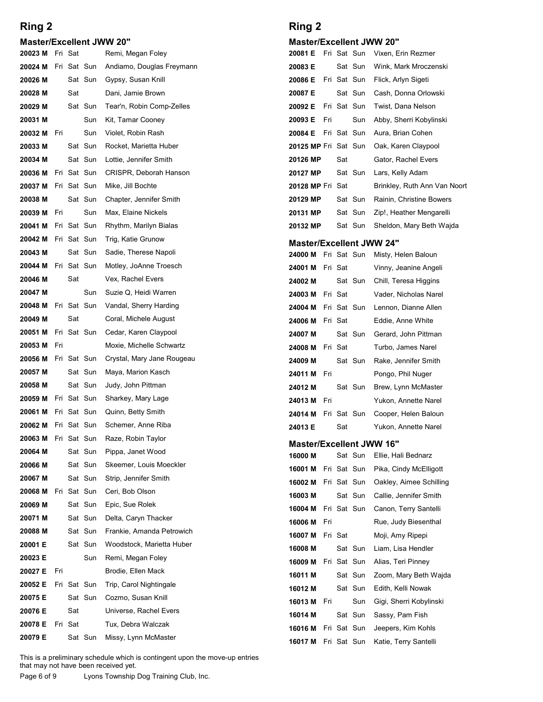#### Master/Excellent JWW 20"

| Ring 2                                                    |     |             |                        |                                                                                                                                                               | Ring 2                            |     |             |             |                                                |
|-----------------------------------------------------------|-----|-------------|------------------------|---------------------------------------------------------------------------------------------------------------------------------------------------------------|-----------------------------------|-----|-------------|-------------|------------------------------------------------|
| <b>Master/Excellent JWW 20"</b><br><b>20023 M</b> Fri Sat |     |             |                        | Remi, Megan Foley                                                                                                                                             | <b>Master/Excellent JWW 20"</b>   |     |             |             | <b>20081 E</b> Fri Sat Sun Vixen, Erin Rezmer  |
| 20024 M                                                   |     |             | Fri Sat Sun            | Andiamo, Douglas Freymann                                                                                                                                     | 20083 E                           |     |             | Sat Sun     | Wink, Mark Mroczenski                          |
| 20026 M                                                   |     |             | Sat Sun                | Gypsy, Susan Knill                                                                                                                                            | 20086 E                           |     | Fri Sat Sun |             | Flick, Arlyn Sigeti                            |
| 20028 M                                                   |     | Sat         |                        | Dani, Jamie Brown                                                                                                                                             | 20087 E                           |     |             | Sat Sun     | Cash, Donna Orlowski                           |
| 20029 M                                                   |     |             | Sat Sun                | Tear'n, Robin Comp-Zelles                                                                                                                                     | 20092 E                           |     | Fri Sat Sun |             | Twist, Dana Nelson                             |
| 20031 M                                                   |     |             | Sun                    | Kit, Tamar Cooney                                                                                                                                             | 20093 E                           | Fri |             | Sun         | Abby, Sherri Kobylinski                        |
| 20032 M<br>20033 M                                        | Fri |             | Sun<br>Sat Sun         | Violet, Robin Rash<br>Rocket, Marietta Huber                                                                                                                  | 20084 E<br>20125 MP Fri Sat Sun   |     | Fri Sat Sun |             | Aura, Brian Cohen<br>Oak, Karen Claypool       |
| 20034 M                                                   |     |             | Sat Sun                | Lottie, Jennifer Smith                                                                                                                                        | 20126 MP                          |     | Sat         |             | Gator, Rachel Evers                            |
| 20036 M                                                   |     |             | Fri Sat Sun            | CRISPR, Deborah Hanson                                                                                                                                        | 20127 MP                          |     |             | Sat Sun     | Lars, Kelly Adam                               |
| 20037 M                                                   |     |             | Fri Sat Sun            | Mike, Jill Bochte                                                                                                                                             | 20128 MP Fri Sat                  |     |             |             | Brinkley, Ruth Ann Van Noort                   |
| 20038 M                                                   |     |             | Sat Sun                | Chapter, Jennifer Smith                                                                                                                                       | 20129 MP                          |     |             | Sat Sun     | Rainin, Christine Bowers                       |
| 20039 M                                                   | Fri |             | Sun                    | Max, Elaine Nickels                                                                                                                                           | 20131 MP                          |     |             | Sat Sun     | Zip!, Heather Mengarelli                       |
| 20041 M                                                   |     |             | Fri Sat Sun            | Rhythm, Marilyn Bialas                                                                                                                                        | 20132 MP                          |     |             |             | Sat Sun Sheldon, Mary Beth Wajda               |
| 20042 M                                                   |     | Fri Sat Sun |                        | Trig, Katie Grunow                                                                                                                                            | <b>Master/Excellent JWW 24"</b>   |     |             |             |                                                |
| 20043 M<br>20044 M                                        |     |             | Sat Sun<br>Fri Sat Sun | Sadie, Therese Napoli<br>Motley, JoAnne Troesch                                                                                                               | 24000 M Fri Sat Sun               |     |             |             | Misty, Helen Baloun                            |
| 20046 M                                                   |     | Sat         |                        | Vex, Rachel Evers                                                                                                                                             | 24001 M Fri Sat<br>24002 M        |     |             | Sat Sun     | Vinny, Jeanine Angeli<br>Chill, Teresa Higgins |
| 20047 M                                                   |     |             | Sun                    | Suzie Q, Heidi Warren                                                                                                                                         | 24003 M Fri Sat                   |     |             |             | Vader, Nicholas Narel                          |
| 20048 M                                                   |     |             | Fri Sat Sun            | Vandal, Sherry Harding                                                                                                                                        | <b>24004 M</b> Fri Sat Sun        |     |             |             | Lennon, Dianne Allen                           |
| 20049 M                                                   |     | Sat         |                        | Coral, Michele August                                                                                                                                         | 24006 M Fri Sat                   |     |             |             | Eddie, Anne White                              |
| 20051 M                                                   |     |             | Fri Sat Sun            | Cedar, Karen Claypool                                                                                                                                         | 24007 M                           |     |             | Sat Sun     | Gerard, John Pittman                           |
| 20053 M                                                   | Fri |             |                        | Moxie, Michelle Schwartz                                                                                                                                      | 24008 M Fri Sat                   |     |             |             | Turbo, James Narel                             |
| 20056 M                                                   |     |             | Fri Sat Sun            | Crystal, Mary Jane Rougeau                                                                                                                                    | 24009 M                           |     |             | Sat Sun     | Rake, Jennifer Smith                           |
| 20057 M<br>20058 M                                        |     |             | Sat Sun<br>Sat Sun     | Maya, Marion Kasch<br>Judy, John Pittman                                                                                                                      | 24011 M Fri                       |     |             |             | Pongo, Phil Nuger                              |
| 20059 M                                                   |     | Fri Sat Sun |                        | Sharkey, Mary Lage                                                                                                                                            | 24012 M<br>24013 M Fri            |     |             | Sat Sun     | Brew, Lynn McMaster<br>Yukon, Annette Narel    |
| 20061 M                                                   |     | Fri Sat Sun |                        | Quinn, Betty Smith                                                                                                                                            | <b>24014 M</b> Fri Sat Sun        |     |             |             | Cooper, Helen Baloun                           |
| 20062 M                                                   |     |             | Fri Sat Sun            | Schemer, Anne Riba                                                                                                                                            | 24013 E                           |     | Sat         |             | Yukon, Annette Narel                           |
| 20063 M                                                   |     | Fri Sat Sun |                        | Raze, Robin Taylor                                                                                                                                            | <b>Master/Excellent JWW 16"</b>   |     |             |             |                                                |
| 20064 M                                                   |     |             | Sat Sun                | Pippa, Janet Wood                                                                                                                                             | 16000 M                           |     |             | Sat Sun     | Ellie, Hali Bednarz                            |
| 20066 M                                                   |     |             | Sat Sun                | Skeemer, Louis Moeckler                                                                                                                                       | <b>16001 M</b> Fri Sat Sun        |     |             |             | Pika, Cindy McElligott                         |
| 20067 M                                                   |     |             | Sat Sun                | Strip, Jennifer Smith                                                                                                                                         | <b>16002 M</b> Fri Sat Sun        |     |             |             | Oakley, Aimee Schilling                        |
| 20068 M<br>20069 M                                        |     | Fri Sat Sun | Sat Sun                | Ceri, Bob Olson<br>Epic, Sue Rolek                                                                                                                            | 16003 M                           |     |             | Sat Sun     | Callie, Jennifer Smith                         |
| 20071 M                                                   |     |             | Sat Sun                | Delta, Caryn Thacker                                                                                                                                          | 16004 M                           |     |             | Fri Sat Sun | Canon, Terry Santelli                          |
| 20088 M                                                   |     |             | Sat Sun                | Frankie, Amanda Petrowich                                                                                                                                     | 16006 M                           | Fri |             |             | Rue, Judy Biesenthal                           |
| 20001 E                                                   |     |             | Sat Sun                | Woodstock, Marietta Huber                                                                                                                                     | <b>16007 M</b> Fri Sat<br>16008 M |     |             | Sat Sun     | Moji, Amy Ripepi<br>Liam, Lisa Hendler         |
| 20023 E                                                   |     |             | Sun                    | Remi, Megan Foley                                                                                                                                             | 16009 M Fri Sat Sun               |     |             |             | Alias, Teri Pinney                             |
| 20027 E                                                   | Fri |             |                        | Brodie, Ellen Mack                                                                                                                                            | 16011 M                           |     |             | Sat Sun     | Zoom, Mary Beth Wajda                          |
| 20052 E                                                   |     | Fri Sat Sun |                        | Trip, Carol Nightingale                                                                                                                                       | 16012 M                           |     |             | Sat Sun     | Edith, Kelli Nowak                             |
| 20075 E                                                   |     |             | Sat Sun                | Cozmo, Susan Knill                                                                                                                                            | 16013 M Fri                       |     |             | Sun         | Gigi, Sherri Kobylinski                        |
| 20076 E<br>20078 E Fri Sat                                |     | Sat         |                        | Universe, Rachel Evers<br>Tux, Debra Walczak                                                                                                                  | 16014 M                           |     |             |             | Sat Sun Sassy, Pam Fish                        |
| 20079 E                                                   |     |             | Sat Sun                | Missy, Lynn McMaster                                                                                                                                          |                                   |     |             |             | <b>16016 M</b> Fri Sat Sun Jeepers, Kim Kohls  |
|                                                           |     |             |                        |                                                                                                                                                               | 16017 M Fri Sat Sun               |     |             |             | Katie, Terry Santelli                          |
| Page 6 of 9                                               |     |             |                        | This is a preliminary schedule which is contingent upon the move-up entries<br>that may not have been received yet.<br>Lyons Township Dog Training Club, Inc. |                                   |     |             |             |                                                |

### Ring 2

#### Master/Excellent JWW 20"

| Ring 2                          |     |         |             |                              |
|---------------------------------|-----|---------|-------------|------------------------------|
| <b>Master/Excellent JWW 20"</b> |     |         |             |                              |
| 20081 E                         |     |         | Fri Sat Sun | Vixen, Erin Rezmer           |
| 20083 E                         |     |         | Sat Sun     | Wink, Mark Mroczenski        |
| 20086 E                         |     |         | Fri Sat Sun | Flick, Arlyn Sigeti          |
| 20087 E                         |     |         | Sat Sun     | Cash, Donna Orlowski         |
| 20092 E                         |     |         | Fri Sat Sun | Twist, Dana Nelson           |
| 20093 E                         | Fri |         | Sun         | Abby, Sherri Kobylinski      |
| 20084 E                         |     |         | Fri Sat Sun | Aura, Brian Cohen            |
| 20125 MP Fri Sat Sun            |     |         |             | Oak, Karen Claypool          |
| 20126 MP                        |     | Sat     |             | Gator, Rachel Evers          |
| 20127 MP                        |     |         | Sat Sun     | Lars, Kelly Adam             |
| 20128 MP Fri Sat                |     |         |             | Brinkley, Ruth Ann Van Noort |
| 20129 MP                        |     |         | Sat Sun     | Rainin, Christine Bowers     |
| 20131 MP                        |     |         | Sat Sun     | Zip!, Heather Mengarelli     |
| 20132 MP                        |     |         | Sat Sun     | Sheldon, Mary Beth Wajda     |
| <b>Master/Excellent JWW 24"</b> |     |         |             |                              |
| 24000 M                         |     |         | Fri Sat Sun | Misty, Helen Baloun          |
| 24001 M                         |     | Fri Sat |             | Vinny, Jeanine Angeli        |
| 24002 M                         |     |         | Sat Sun     | Chill, Teresa Higgins        |
| 24003 M                         |     | Fri Sat |             | Vader, Nicholas Narel        |
| 24004 M                         |     |         | Fri Sat Sun | Lennon, Dianne Allen         |
| 24006 M                         |     | Fri Sat |             | Eddie, Anne White            |
| 24007 M                         |     |         | Sat Sun     | Gerard, John Pittman         |
| 24008 M                         |     | Fri Sat |             | Turbo, James Narel           |
| 24009 M                         |     |         | Sat Sun     | Rake, Jennifer Smith         |
| 24011 M                         | Fri |         |             | Pongo, Phil Nuger            |
|                                 |     |         | Sat Sun     | Brew, Lynn McMaster          |

| 20093 E                         | Fri |             | Sun         | Abby, Sherri Kobylinski      |
|---------------------------------|-----|-------------|-------------|------------------------------|
| 20084 E                         |     |             | Fri Sat Sun | Aura, Brian Cohen            |
| 20125 MP Fri Sat Sun            |     |             |             | Oak, Karen Claypool          |
| 20126 MP                        |     | Sat         |             | Gator, Rachel Evers          |
| 20127 MP                        |     |             | Sat Sun     | Lars, Kelly Adam             |
| 20128 MP Fri Sat                |     |             |             | Brinkley, Ruth Ann Van Noort |
| 20129 MP                        |     |             | Sat Sun     | Rainin, Christine Bowers     |
| 20131 MP                        |     |             | Sat Sun     | Zip!, Heather Mengarelli     |
| 20132 MP                        |     |             | Sat Sun     | Sheldon, Mary Beth Wajda     |
| <b>Master/Excellent JWW 24"</b> |     |             |             |                              |
| 24000 M                         |     | Fri Sat Sun |             | Misty, Helen Baloun          |
| 24001 M                         |     | Fri Sat     |             | Vinny, Jeanine Angeli        |
| 24002 M                         |     |             | Sat Sun     | Chill, Teresa Higgins        |
| 24003 M                         |     | Fri Sat     |             | Vader, Nicholas Narel        |
| 24004 M                         |     |             | Fri Sat Sun | Lennon, Dianne Allen         |
| 24006 M                         |     | Fri Sat     |             | Eddie, Anne White            |
| 24007 M                         |     |             | Sat Sun     | Gerard, John Pittman         |
| 24008 M                         |     | Fri Sat     |             | Turbo, James Narel           |
| 24009 M                         |     |             | Sat Sun     | Rake, Jennifer Smith         |
| 24011 M                         | Fri |             |             | Pongo, Phil Nuger            |
| 24012 M                         |     |             | Sat Sun     | Brew, Lynn McMaster          |
| 24013 M                         | Fri |             |             | Yukon, Annette Narel         |
| 24014 M                         |     |             | Fri Sat Sun | Cooper, Helen Baloun         |
| 24013 E                         |     | Sat         |             | Yukon, Annette Narel         |
| <b>Master/Excellent JWW 16"</b> |     |             |             |                              |
| 16000 M                         |     |             | Sat Sun     | Ellie, Hali Bednarz          |
| 16001 M                         |     |             | Fri Sat Sun | Pika, Cindy McElligott       |
| 16002 M                         |     |             | Fri Sat Sun | Oakley, Aimee Schilling      |
| 16003 M                         |     |             | Sat Sun     | Callie, Jennifer Smith       |
| 16004 M                         |     |             | Fri Sat Sun | Canon, Terry Santelli        |
| 16006 M                         | Fri |             |             | Rue, Judy Biesenthal         |
| 16007 M                         |     | Fri Sat     |             | Moji, Amy Ripepi             |
| 16008 M                         |     |             | Sat Sun     | Liam, Lisa Hendler           |
| 16009 M                         |     | Fri Sat Sun |             | Alias, Teri Pinney           |

#### Master/Excellent JWW 16"

| 24004 M                         |     | Fri Sat Sun |             | Lennon, Dianne Allen    |
|---------------------------------|-----|-------------|-------------|-------------------------|
| 24006 M                         |     | Fri Sat     |             | Eddie, Anne White       |
| 24007 M                         |     |             | Sat Sun     | Gerard, John Pittman    |
| 24008 M                         |     | Fri Sat     |             | Turbo, James Narel      |
| 24009 M                         |     |             | Sat Sun     | Rake, Jennifer Smith    |
| 24011 M                         | Fri |             |             | Pongo, Phil Nuger       |
| 24012 M                         |     |             | Sat Sun     | Brew, Lynn McMaster     |
| 24013 M                         | Fri |             |             | Yukon, Annette Narel    |
| 24014 M                         |     | Fri Sat Sun |             | Cooper, Helen Baloun    |
| 24013 E                         |     | Sat         |             | Yukon, Annette Narel    |
| <b>Master/Excellent JWW 16"</b> |     |             |             |                         |
| 16000 M                         |     |             | Sat Sun     | Ellie, Hali Bednarz     |
| 16001 M                         |     | Fri Sat Sun |             | Pika, Cindy McElligott  |
| 16002 M                         |     | Fri Sat Sun |             | Oakley, Aimee Schilling |
| 16003 M                         |     |             | Sat Sun     | Callie, Jennifer Smith  |
| 16004 M                         |     |             | Fri Sat Sun | Canon, Terry Santelli   |
| 16006 M                         | Fri |             |             | Rue, Judy Biesenthal    |
| 16007 M                         |     | Fri Sat     |             | Moji, Amy Ripepi        |
| 16008 M                         |     |             | Sat Sun     | Liam, Lisa Hendler      |
| 16009 M                         |     |             | Fri Sat Sun | Alias, Teri Pinney      |
| 16011 M                         |     |             | Sat Sun     | Zoom, Mary Beth Wajda   |
| 16012 M                         |     |             | Sat Sun     | Edith, Kelli Nowak      |
| 16013 M                         | Fri |             | Sun         | Gigi, Sherri Kobylinski |
| 16014 M                         |     |             | Sat Sun     | Sassy, Pam Fish         |
| 16016 M                         |     | Fri Sat Sun |             | Jeepers, Kim Kohls      |
| 16017 M                         |     | Fri Sat Sun |             | Katie, Terry Santelli   |
|                                 |     |             |             |                         |
|                                 |     |             |             |                         |
|                                 |     |             |             |                         |
|                                 |     |             |             |                         |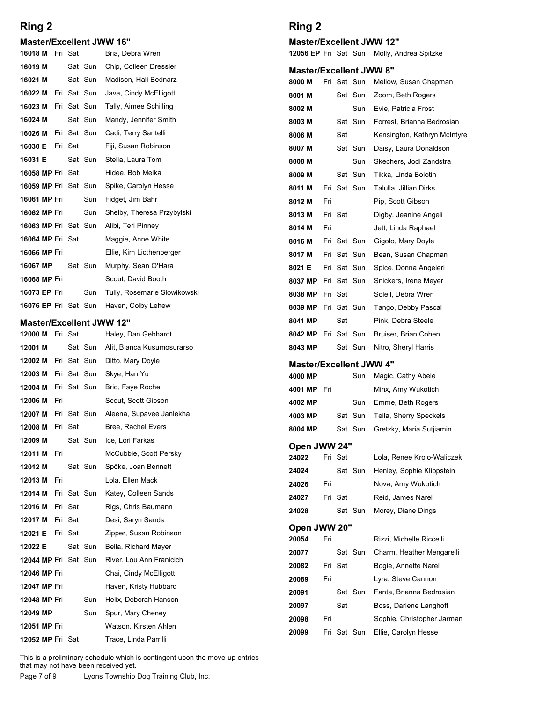#### Master/Excellent JWW 16"

| Ring 2                                                    |     |         |             |                                          | Ring 2                                                    |     |         |                            |  |
|-----------------------------------------------------------|-----|---------|-------------|------------------------------------------|-----------------------------------------------------------|-----|---------|----------------------------|--|
|                                                           |     |         |             |                                          |                                                           |     |         |                            |  |
| <b>Master/Excellent JWW 16"</b><br><b>16018 M</b> Fri Sat |     |         |             | Bria, Debra Wren                         | <b>Master/Excellent JW</b><br><b>12056 EP Fri Sat Sun</b> |     |         |                            |  |
| 16019 M                                                   |     |         | Sat Sun     | Chip, Colleen Dressler                   | <b>Master/Excellent JW</b>                                |     |         |                            |  |
| 16021 M                                                   |     |         | Sat Sun     | Madison, Hali Bednarz                    | 8000 M                                                    |     |         | Fri Sat Sun                |  |
| 16022 M                                                   |     |         | Fri Sat Sun | Java, Cindy McElligott                   | 8001 M                                                    |     |         | Sat Sun                    |  |
| 16023 M                                                   |     |         | Fri Sat Sun | Tally, Aimee Schilling                   | 8002 M                                                    |     |         | Sun                        |  |
| 16024 M                                                   |     |         | Sat Sun     | Mandy, Jennifer Smith                    | 8003 M                                                    |     |         | Sat Sun                    |  |
| 16026 M                                                   |     |         | Fri Sat Sun | Cadi, Terry Santelli                     | 8006 M                                                    |     | Sat     |                            |  |
| 16030 E                                                   |     | Fri Sat |             | Fiji, Susan Robinson                     | 8007 M                                                    |     |         | Sat Sun                    |  |
| 16031 E                                                   |     |         | Sat Sun     | Stella, Laura Tom                        | 8008 M                                                    |     |         | Sun                        |  |
| <b>16058 MP Fri Sat</b>                                   |     |         |             | Hidee, Bob Melka                         | 8009 M                                                    |     |         | Sat Sun                    |  |
| 16059 MP Fri Sat Sun                                      |     |         |             | Spike, Carolyn Hesse                     | 8011 M                                                    |     |         | Fri Sat Sun                |  |
| 16061 MP Fri                                              |     |         | Sun         | Fidget, Jim Bahr                         | 8012 M                                                    | Fri |         |                            |  |
| 16062 MP Fri                                              |     |         | Sun         | Shelby, Theresa Przybylski               | 8013 M                                                    |     | Fri Sat |                            |  |
| <b>16063 MP Fri Sat Sun</b><br><b>16064 MP Fri Sat</b>    |     |         |             | Alibi, Teri Pinney<br>Maggie, Anne White | 8014 M                                                    | Fri |         |                            |  |
| 16066 MP Fri                                              |     |         |             | Ellie, Kim Licthenberger                 | 8016 M                                                    |     |         | Fri Sat Sun                |  |
| 16067 MP                                                  |     |         | Sat Sun     | Murphy, Sean O'Hara                      | 8017 M<br>8021 E                                          |     |         | Fri Sat Sun<br>Fri Sat Sun |  |
| 16068 MP Fri                                              |     |         |             | Scout, David Booth                       | 8037 MP Fri Sat Sun                                       |     |         |                            |  |
| 16073 EP Fri                                              |     |         | Sun         | Tully, Rosemarie Slowikowski             | 8038 MP Fri Sat                                           |     |         |                            |  |
| 16076 EP Fri Sat Sun                                      |     |         |             | Haven, Colby Lehew                       | 8039 MP Fri Sat Sun                                       |     |         |                            |  |
| <b>Master/Excellent JWW 12"</b>                           |     |         |             |                                          | 8041 MP                                                   |     | Sat     |                            |  |
| <b>12000 M</b> Fri Sat                                    |     |         |             | Haley, Dan Gebhardt                      | 8042 MP Fri Sat Sun                                       |     |         |                            |  |
| 12001 M                                                   |     |         | Sat Sun     | Alit, Blanca Kusumosurarso               | 8043 MP                                                   |     |         | Sat Sun                    |  |
| 12002 M                                                   |     |         | Fri Sat Sun | Ditto, Mary Doyle                        | <b>Master/Excellent JW</b>                                |     |         |                            |  |
| 12003 M                                                   |     |         | Fri Sat Sun | Skye, Han Yu                             | 4000 MP                                                   |     |         | Sun                        |  |
| 12004 M                                                   |     |         | Fri Sat Sun | Brio, Faye Roche                         | 4001 MP Fri                                               |     |         |                            |  |
| 12006 M                                                   | Fri |         |             | Scout, Scott Gibson                      | 4002 MP                                                   |     |         | Sun                        |  |
| 12007 M                                                   |     |         | Fri Sat Sun | Aleena, Supavee Janlekha                 | 4003 MP                                                   |     |         | Sat Sun                    |  |
| 12008 M                                                   |     | Fri Sat |             | Bree, Rachel Evers                       | 8004 MP                                                   |     |         | Sat Sun                    |  |
| 12009 M                                                   |     |         | Sat Sun     | Ice, Lori Farkas                         |                                                           |     |         |                            |  |

### Master/Excellent JWW 12"

| 16061 MP Fri                    |     |         | Sun     | Fidget, Jim Bahr                                                                                                    | 8012 M                     | Fri |         |             |  |
|---------------------------------|-----|---------|---------|---------------------------------------------------------------------------------------------------------------------|----------------------------|-----|---------|-------------|--|
| <b>16062 MP Fri</b>             |     |         | Sun     | Shelby, Theresa Przybylski                                                                                          | 8013 M                     |     | Fri Sat |             |  |
| <b>16063 MP Fri Sat Sun</b>     |     |         |         | Alibi, Teri Pinney                                                                                                  | 8014 M                     | Fri |         |             |  |
| <b>16064 MP Fri Sat</b>         |     |         |         | Maggie, Anne White                                                                                                  | 8016 M                     |     |         | Fri Sat Sun |  |
| 16066 MP Fri                    |     |         |         | Ellie, Kim Licthenberger                                                                                            | 8017 M                     |     |         | Fri Sat Sun |  |
| 16067 MP                        |     |         | Sat Sun | Murphy, Sean O'Hara                                                                                                 | 8021 E                     |     |         | Fri Sat Sun |  |
| <b>16068 MP Fri</b>             |     |         |         | Scout, David Booth                                                                                                  | 8037 MP Fri Sat Sun        |     |         |             |  |
| <b>16073 EP Fri</b>             |     |         | Sun     | Tully, Rosemarie Slowikowski                                                                                        | 8038 MP Fri Sat            |     |         |             |  |
| <b>16076 EP</b> Fri Sat Sun     |     |         |         | Haven, Colby Lehew                                                                                                  | 8039 MP Fri Sat Sun        |     |         |             |  |
| <b>Master/Excellent JWW 12"</b> |     |         |         |                                                                                                                     | 8041 MP                    |     | Sat     |             |  |
| <b>12000 M</b> Fri Sat          |     |         |         | Haley, Dan Gebhardt                                                                                                 | 8042 MP Fri Sat Sun        |     |         |             |  |
| 12001 M                         |     |         | Sat Sun | Alit, Blanca Kusumosurarso                                                                                          | 8043 MP                    |     |         | Sat Sun     |  |
| <b>12002 M</b> Fri Sat Sun      |     |         |         | Ditto, Mary Doyle                                                                                                   | <b>Master/Excellent JW</b> |     |         |             |  |
| 12003 M Fri Sat Sun             |     |         |         | Skye, Han Yu                                                                                                        | 4000 MP                    |     |         | Sun         |  |
| <b>12004 M</b> Fri Sat Sun      |     |         |         | Brio, Faye Roche                                                                                                    | 4001 MP Fri                |     |         |             |  |
| 12006 M Fri                     |     |         |         | Scout, Scott Gibson                                                                                                 | 4002 MP                    |     |         | Sun         |  |
| <b>12007 M</b> Fri Sat Sun      |     |         |         | Aleena, Supavee Janlekha                                                                                            | 4003 MP                    |     |         | Sat Sun     |  |
| <b>12008 M</b> Fri Sat          |     |         |         | Bree, Rachel Evers                                                                                                  | 8004 MP                    |     |         | Sat Sun     |  |
| 12009 M                         |     |         | Sat Sun | Ice, Lori Farkas                                                                                                    | Open JWW 24"               |     |         |             |  |
| 12011 M                         | Fri |         |         | McCubbie, Scott Persky                                                                                              | 24022                      |     | Fri Sat |             |  |
| 12012 M                         |     |         | Sat Sun | Spöke, Joan Bennett                                                                                                 | 24024                      |     |         | Sat Sun     |  |
| 12013 M Fri                     |     |         |         | Lola, Ellen Mack                                                                                                    | 24026                      | Fri |         |             |  |
| <b>12014 M</b> Fri Sat Sun      |     |         |         | Katey, Colleen Sands                                                                                                | 24027                      |     | Fri Sat |             |  |
| 12016 M Fri Sat                 |     |         |         | Rigs, Chris Baumann                                                                                                 | 24028                      |     |         | Sat Sun     |  |
| 12017 M Fri Sat                 |     |         |         | Desi, Saryn Sands                                                                                                   | Open JWW 20"               |     |         |             |  |
| 12021 E                         |     | Fri Sat |         | Zipper, Susan Robinson                                                                                              | 20054                      | Fri |         |             |  |
| 12022 E                         |     |         | Sat Sun | Bella, Richard Mayer                                                                                                | 20077                      |     |         | Sat Sun     |  |
| 12044 MP Fri Sat Sun            |     |         |         | River, Lou Ann Franicich                                                                                            | 20082                      |     | Fri Sat |             |  |
| <b>12046 MP Fri</b>             |     |         |         | Chai, Cindy McElligott                                                                                              | 20089                      | Fri |         |             |  |
| <b>12047 MP Fri</b>             |     |         |         | Haven, Kristy Hubbard                                                                                               | 20091                      |     |         | Sat Sun     |  |
| 12048 MP Fri                    |     |         | Sun     | Helix, Deborah Hanson                                                                                               | 20097                      |     | Sat     |             |  |
| 12049 MP                        |     |         | Sun     | Spur, Mary Cheney                                                                                                   | 20098                      | Fri |         |             |  |
| 12051 MP Fri                    |     |         |         | Watson, Kirsten Ahlen                                                                                               | 20099                      |     |         | Fri Sat Sun |  |
| <b>12052 MP Fri Sat</b>         |     |         |         | Trace, Linda Parrilli                                                                                               |                            |     |         |             |  |
|                                 |     |         |         | This is a preliminary schedule which is contingent upon the move-up entries<br>that may not have been received yet. |                            |     |         |             |  |
| Page 7 of 9                     |     |         |         | Lyons Township Dog Training Club, Inc.                                                                              |                            |     |         |             |  |
|                                 |     |         |         |                                                                                                                     |                            |     |         |             |  |
|                                 |     |         |         |                                                                                                                     |                            |     |         |             |  |
|                                 |     |         |         |                                                                                                                     |                            |     |         |             |  |
|                                 |     |         |         |                                                                                                                     |                            |     |         |             |  |

### Ring 2

#### Master/Excellent JWW 12"

#### Master/Excellent JWW 8"

| <b>Ring 2</b>                     |         |                                            | Ring 2                          |         |                        |                                                |
|-----------------------------------|---------|--------------------------------------------|---------------------------------|---------|------------------------|------------------------------------------------|
| <b>Master/Excellent JWW 16"</b>   |         |                                            | <b>Master/Excellent JWW 12"</b> |         |                        |                                                |
| 16018 M Fri Sat                   |         | Bria, Debra Wren                           |                                 |         |                        | 12056 EP Fri Sat Sun Molly, Andrea Spitzke     |
| 16019 M                           | Sat Sun | Chip, Colleen Dressler                     | <b>Master/Excellent JWW 8"</b>  |         |                        |                                                |
| 16021 M                           | Sat Sun | Madison, Hali Bednarz                      | 8000 M                          |         | Fri Sat Sun            | Mellow, Susan Chapman                          |
| <b>16022 M</b> Fri Sat Sun        |         | Java, Cindy McElligott                     | 8001 M                          |         | Sat Sun                | Zoom, Beth Rogers                              |
| <b>16023 M</b> Fri Sat Sun        |         | Tally, Aimee Schilling                     | 8002 M                          |         | Sun                    | Evie, Patricia Frost                           |
| 16024 M                           | Sat Sun | Mandy, Jennifer Smith                      | 8003 M                          |         | Sat Sun                | Forrest, Brianna Bedrosian                     |
| <b>16026 M</b> Fri Sat Sun        |         | Cadi, Terry Santelli                       | 8006 M                          |         | Sat                    | Kensington, Kathryn McIntyre                   |
| <b>16030 E</b> Fri Sat<br>16031 E | Sat Sun | Fiji, Susan Robinson<br>Stella, Laura Tom  | 8007 M                          |         | Sat Sun                | Daisy, Laura Donaldson                         |
| <b>16058 MP Fri Sat</b>           |         | Hidee, Bob Melka                           | 8008 M                          |         | Sun                    | Skechers, Jodi Zandstra                        |
| 16059 MP Fri Sat Sun              |         | Spike, Carolyn Hesse                       | 8009 M                          |         | Sat Sun<br>Fri Sat Sun | Tikka, Linda Bolotin<br>Talulla, Jillian Dirks |
| <b>16061 MP Fri</b>               | Sun     | Fidget, Jim Bahr                           | 8011 M<br>8012 M                | Fri     |                        | Pip, Scott Gibson                              |
| <b>16062 MP Fri</b>               | Sun     | Shelby, Theresa Przybylski                 | 8013 M                          | Fri Sat |                        | Digby, Jeanine Angeli                          |
| 16063 MP Fri Sat Sun              |         | Alibi, Teri Pinney                         | 8014 M                          | Fri     |                        | Jett, Linda Raphael                            |
| 16064 MP Fri Sat                  |         | Maggie, Anne White                         | 8016 M                          |         | Fri Sat Sun            | Gigolo, Mary Doyle                             |
| 16066 MP Fri                      |         | Ellie, Kim Licthenberger                   | 8017 M                          |         | Fri Sat Sun            | Bean, Susan Chapman                            |
| 16067 MP                          | Sat Sun | Murphy, Sean O'Hara                        | 8021 E                          |         | Fri Sat Sun            | Spice, Donna Angeleri                          |
| 16068 MP Fri                      |         | Scout, David Booth                         | 8037 MP                         |         | Fri Sat Sun            | Snickers, Irene Meyer                          |
| 16073 EP Fri                      | Sun     | Tully, Rosemarie Slowikowski               | 8038 MP                         | Fri Sat |                        | Soleil, Debra Wren                             |
|                                   |         | 16076 EP Fri Sat Sun Haven, Colby Lehew    | 8039 MP Fri Sat Sun             |         |                        | Tango, Debby Pascal                            |
| <b>Master/Excellent JWW 12"</b>   |         |                                            | 8041 MP                         |         | Sat                    | Pink, Debra Steele                             |
| 12000 M Fri Sat                   |         | Haley, Dan Gebhardt                        | 8042 MP Fri Sat Sun             |         |                        | Bruiser, Brian Cohen                           |
| 12001 M                           | Sat Sun | Alit, Blanca Kusumosurarso                 | 8043 MP                         |         | Sat Sun                | Nitro, Sheryl Harris                           |
| 12002 M Fri Sat Sun               |         | Ditto, Mary Doyle                          | <b>Master/Excellent JWW 4"</b>  |         |                        |                                                |
| 12003 M Fri Sat Sun               |         | Skye, Han Yu                               | 4000 MP                         |         | Sun                    | Magic, Cathy Abele                             |
| 12004 M Fri Sat Sun               |         | Brio, Faye Roche                           | 4001 MP Fri                     |         |                        | Minx, Amy Wukotich                             |
| 12006 M Fri                       |         | Scout, Scott Gibson                        | 4002 MP                         |         | Sun                    | Emme, Beth Rogers                              |
| <b>12007 M</b> Fri Sat Sun        |         | Aleena, Supavee Janlekha                   | 4003 MP                         |         | Sat Sun                | Teila, Sherry Speckels                         |
| 12008 M Fri Sat                   |         | Bree, Rachel Evers                         | 8004 MP                         |         | Sat Sun                | Gretzky, Maria Sutjiamin                       |
| 12009 M                           | Sat Sun | Ice, Lori Farkas                           | Open JWW 24"                    |         |                        |                                                |
| 12011 M Fri                       |         | McCubbie, Scott Persky                     | 24022                           | Fri Sat |                        | Lola, Renee Krolo-Waliczek                     |
| 12012 M                           | Sat Sun | Spöke, Joan Bennett                        | 24024                           |         | Sat Sun                | Henley, Sophie Klippstein                      |
| 12013 M Fri                       |         | Lola, Ellen Mack                           | 24026                           | Fri     |                        | Nova, Amy Wukotich                             |
| 12014 M Fri Sat Sun               |         | Katey, Colleen Sands                       | 24027                           | Fri Sat |                        | Reid, James Narel                              |
| 12016 M Fri Sat                   |         | Rigs, Chris Baumann                        | 24028                           |         | Sat Sun                | Morey, Diane Dings                             |
| 12017 M Fri Sat                   |         | Desi, Saryn Sands                          | Open JWW 20"                    |         |                        |                                                |
| 12021 E Fri Sat                   |         | Zipper, Susan Robinson                     | 20054                           | Fri     |                        | Rizzi, Michelle Riccelli                       |
| 12022 E                           | Sat Sun | Bella, Richard Mayer                       | 20077                           |         | Sat Sun                | Charm, Heather Mengarelli                      |
| 12044 MP Fri Sat Sun              |         | River, Lou Ann Franicich                   | 20082                           | Fri Sat |                        | Bogie, Annette Narel                           |
| 12046 MP Fri                      |         | Chai, Cindy McElligott                     | 20089                           | Fri     |                        | Lyra, Steve Cannon                             |
| 12047 MP Fri                      |         | Haven, Kristy Hubbard                      | 20091                           |         | Sat Sun                | Fanta, Brianna Bedrosian                       |
| <b>12048 MP Fri</b>               | Sun     | Helix, Deborah Hanson                      | 20097                           |         | Sat                    | Boss, Darlene Langhoff                         |
| 12049 MP<br>12051 MP Fri          | Sun     | Spur, Mary Cheney<br>Watson, Kirsten Ahlen | 20098                           | Fri     |                        | Sophie, Christopher Jarman                     |
| 12052 MP Fri Sat                  |         |                                            | 20099                           |         |                        | Fri Sat Sun Ellie, Carolyn Hesse               |
|                                   |         | Trace, Linda Parrilli                      |                                 |         |                        |                                                |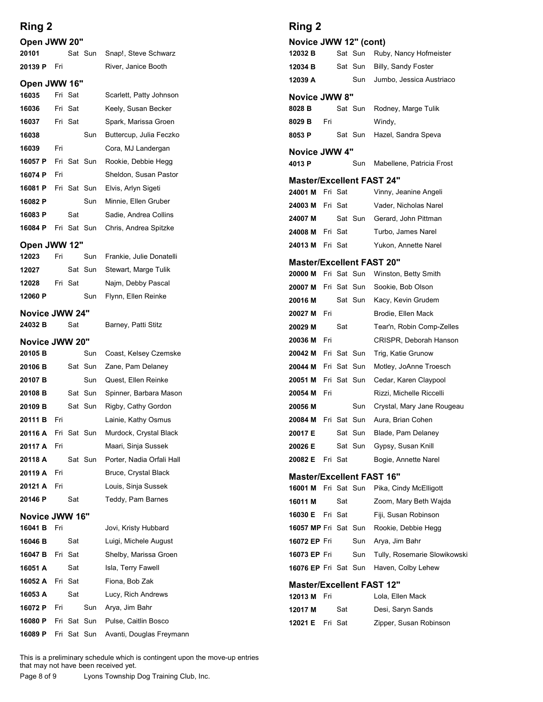| Ring 2                    |     |             |                |                                                   | Ring 2                                                    |
|---------------------------|-----|-------------|----------------|---------------------------------------------------|-----------------------------------------------------------|
| Open JWW 20"              |     |             |                |                                                   | Novice JWW 12" (co                                        |
| 20101                     |     |             | Sat Sun        | Snap!, Steve Schwarz                              | Sat Sun<br>12032 B                                        |
| 20139 P                   | Fri |             |                | River, Janice Booth                               | Sat Sun<br>12034 B                                        |
| Open JWW 16"              |     |             |                |                                                   | 12039 A<br>Sun                                            |
| 16035                     |     | Fri Sat     |                | Scarlett, Patty Johnson                           | <b>Novice JWW 8"</b>                                      |
| 16036                     |     | Fri Sat     |                | Keely, Susan Becker                               | 8028 B<br>Sat Sun                                         |
| 16037                     |     | Fri Sat     |                | Spark, Marissa Groen                              | 8029 B<br>Fri                                             |
| 16038                     |     |             | Sun            | Buttercup, Julia Feczko                           | 8053 P<br>Sat Sun                                         |
| 16039                     | Fri |             | Fri Sat Sun    | Cora, MJ Landergan                                | <b>Novice JWW 4"</b>                                      |
| 16057 P<br>16074 P        | Fri |             |                | Rookie, Debbie Hegg<br>Sheldon, Susan Pastor      | 4013 P<br>Sun                                             |
| 16081 P                   |     |             | Fri Sat Sun    | Elvis, Arlyn Sigeti                               | <b>Master/Excellent FA:</b>                               |
| 16082 P                   |     |             | Sun            | Minnie, Ellen Gruber                              | Fri Sat<br>24001 M<br>24003 M<br>Fri Sat                  |
| 16083 P                   |     | Sat         |                | Sadie, Andrea Collins                             | Sat Sun<br>24007 M                                        |
| 16084 P                   |     |             | Fri Sat Sun    | Chris, Andrea Spitzke                             | Fri Sat<br>24008 M                                        |
| Open JWW 12"              |     |             |                |                                                   | 24013 M<br>Fri Sat                                        |
| 12023<br>12027            | Fri |             | Sun<br>Sat Sun | Frankie, Julie Donatelli<br>Stewart, Marge Tulik  | <b>Master/Excellent FA:</b>                               |
| 12028                     |     | Fri Sat     |                | Najm, Debby Pascal                                | 20000 M Fri Sat Sun                                       |
| 12060 P                   |     |             | Sun            | Flynn, Ellen Reinke                               | Fri Sat Sun<br>20007 M                                    |
|                           |     |             |                |                                                   | 20016 M<br>Sat Sun                                        |
| Novice JWW 24"<br>24032 B |     | Sat         |                | Barney, Patti Stitz                               | 20027 M<br>Fri<br>Sat<br>20029 M                          |
| Novice JWW 20"            |     |             |                |                                                   | 20036 M<br>Fri                                            |
| 20105 <sub>B</sub>        |     |             | Sun            | Coast, Kelsey Czemske                             | Fri Sat Sun<br>20042 M                                    |
| 20106 B                   |     |             | Sat Sun        | Zane, Pam Delaney                                 | Fri Sat Sun<br>20044 M                                    |
| 20107 B                   |     |             | Sun            | Quest, Ellen Reinke                               | Fri Sat Sun<br>20051 M                                    |
| 20108 <sub>B</sub>        |     |             | Sat Sun        | Spinner, Barbara Mason                            | 20054 M<br>Fri                                            |
| 20109 B                   |     |             | Sat Sun        | Rigby, Cathy Gordon                               | Sun<br>20056 M                                            |
| 20111 B                   | Fri |             |                | Lainie, Kathy Osmus                               | Fri Sat Sun<br>20084 M                                    |
| 20116 A                   |     | Fri Sat Sun |                | Murdock, Crystal Black                            | Sat Sun<br>20017 E                                        |
| 20117 A                   | Fri |             |                | Maari, Sinja Sussek                               | Sat Sun<br>20026 E                                        |
| 20118 A<br>20119 A        | Fri |             | Sat Sun        | Porter, Nadia Orfali Hall<br>Bruce, Crystal Black | Fri Sat<br>20082 E                                        |
| 20121 A                   | Fri |             |                | Louis, Sinja Sussek                               | <b>Master/Excellent FA:</b><br><b>16001 M</b> Fri Sat Sun |
| 20146 P                   |     | Sat         |                | Teddy, Pam Barnes                                 | Sat<br>16011 M                                            |
| Novice JWW 16"            |     |             |                |                                                   | 16030 E<br>Fri Sat                                        |
| 16041 B                   | Fri |             |                | Jovi, Kristy Hubbard                              | <b>16057 MP Fri Sat Sun</b>                               |
| 16046 B                   |     | Sat         |                | Luigi, Michele August                             | 16072 EP Fri<br>Sun                                       |
| 16047 B                   |     | Fri Sat     |                | Shelby, Marissa Groen                             | 16073 EP Fri<br>Sun                                       |
| 16051 A                   |     | Sat         |                | Isla, Terry Fawell                                | 16076 EP Fri Sat Sun                                      |
| 16052 A                   |     | Fri Sat     |                | Fiona, Bob Zak                                    | <b>Master/Excellent FA:</b>                               |
| 16053 A                   |     | Sat         |                | Lucy, Rich Andrews                                | 12013 M Fri                                               |
| 16072 P                   | Fri |             | Sun            | Arya, Jim Bahr                                    | 12017 M<br>Sat                                            |
| 16080 P                   |     |             | Fri Sat Sun    | Pulse, Caitlin Bosco                              | 12021 E Fri Sat                                           |
| 16089 P                   |     |             | Fri Sat Sun    | Avanti, Douglas Freymann                          |                                                           |

### Ring 2

| Ring 2                                          |     |         |             |                                                        |
|-------------------------------------------------|-----|---------|-------------|--------------------------------------------------------|
| Novice JWW 12" (cont)                           |     |         |             |                                                        |
| 12032 B                                         |     |         | Sat Sun     | Ruby, Nancy Hofmeister                                 |
| 12034 B                                         |     |         | Sat Sun     | Billy, Sandy Foster                                    |
| 12039 A                                         |     |         | Sun         | Jumbo, Jessica Austriaco                               |
| <b>Novice JWW 8"</b><br>8028 B                  |     |         | Sat Sun     | Rodney, Marge Tulik                                    |
| 8029 B                                          | Fri |         |             | Windy,                                                 |
| 8053 P                                          |     |         | Sat Sun     | Hazel, Sandra Speva                                    |
| Novice JWW 4"                                   |     |         |             |                                                        |
| 4013 P                                          |     |         | Sun         | Mabellene, Patricia Frost                              |
| <b>Master/Excellent FAST 24"</b>                |     |         |             |                                                        |
| 24001 M Fri Sat                                 |     |         |             | Vinny, Jeanine Angeli                                  |
| 24003 M Fri Sat                                 |     |         |             | Vader, Nicholas Narel                                  |
| 24007 M                                         |     |         |             | Sat Sun Gerard, John Pittman                           |
| 24008 M Fri Sat                                 |     |         |             | Turbo, James Narel                                     |
| 24013 M Fri Sat                                 |     |         |             | Yukon, Annette Narel                                   |
| <b>Master/Excellent FAST 20"</b>                |     |         |             |                                                        |
| 20000 M Fri Sat Sun<br>20007 M Fri Sat Sun      |     |         |             | Winston, Betty Smith<br>Sookie, Bob Olson              |
| 20016 M                                         |     |         | Sat Sun     | Kacy, Kevin Grudem                                     |
| 20027 M Fri                                     |     |         |             | Brodie, Ellen Mack                                     |
| 20029 M                                         |     | Sat     |             | Tear'n, Robin Comp-Zelles                              |
| 20036 M                                         | Fri |         |             | CRISPR, Deborah Hanson                                 |
| 20042 M                                         |     |         | Fri Sat Sun | Trig, Katie Grunow                                     |
| 20044 M                                         |     |         | Fri Sat Sun | Motley, JoAnne Troesch                                 |
| 20051 M                                         |     |         | Fri Sat Sun | Cedar, Karen Claypool                                  |
| 20054 M<br>20056 M                              | Fri |         | Sun         | Rizzi, Michelle Riccelli<br>Crystal, Mary Jane Rougeau |
| 20084 M Fri Sat Sun                             |     |         |             | Aura, Brian Cohen                                      |
| 20017 E                                         |     |         | Sat Sun     | Blade, Pam Delaney                                     |
| 20026 E                                         |     |         | Sat Sun     | Gypsy, Susan Knill                                     |
| 20082 E                                         |     | Fri Sat |             | Bogie, Annette Narel                                   |
| <b>Master/Excellent FAST 16"</b>                |     |         |             |                                                        |
| 16001 M Fri Sat Sun                             |     |         |             | Pika, Cindy McElligott                                 |
| 16011 M                                         |     | Sat     |             | Zoom, Mary Beth Wajda                                  |
| 16030 E Fri Sat                                 |     |         |             | Fiji, Susan Robinson                                   |
| 16057 MP Fri Sat Sun                            |     |         |             | Rookie, Debbie Hegg                                    |
| 16072 EP Fri                                    |     |         | Sun         | Arya, Jim Bahr                                         |
| 16073 EP Fri<br>16076 EP Fri Sat Sun            |     |         | Sun         | Tully, Rosemarie Slowikowski<br>Haven, Colby Lehew     |
|                                                 |     |         |             |                                                        |
| <b>Master/Excellent FAST 12"</b><br>12013 M Fri |     |         |             | Lola, Ellen Mack                                       |
| 12017 M                                         |     | Sat     |             | Desi, Saryn Sands                                      |
| 12021 E Fri Sat                                 |     |         |             | Zipper, Susan Robinson                                 |
|                                                 |     |         |             |                                                        |
|                                                 |     |         |             |                                                        |
|                                                 |     |         |             |                                                        |
|                                                 |     |         |             |                                                        |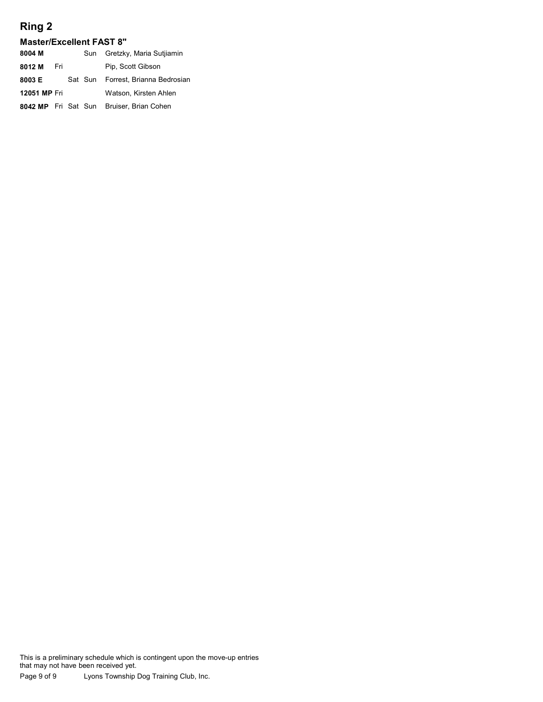#### Master/Excellent FAST 8"

| Ring 2                                    |     |         |                            |  |
|-------------------------------------------|-----|---------|----------------------------|--|
| <b>Master/Excellent FAST 8"</b><br>8004 M |     | Sun     | Gretzky, Maria Sutjiamin   |  |
| 8012 M                                    | Fri |         | Pip, Scott Gibson          |  |
| 8003 E                                    |     | Sat Sun | Forrest, Brianna Bedrosian |  |
| 12051 MP Fri                              |     |         | Watson, Kirsten Ahlen      |  |
| 8042 MP Fri Sat Sun                       |     |         | Bruiser, Brian Cohen       |  |
|                                           |     |         |                            |  |
|                                           |     |         |                            |  |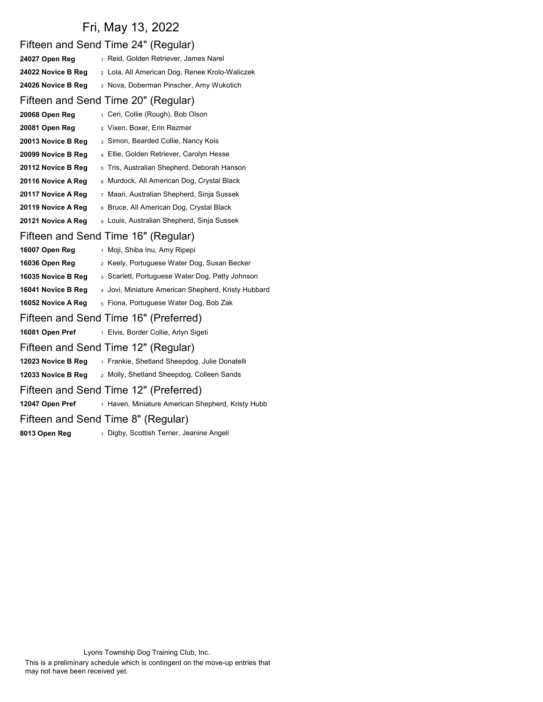# Fri, May 13, 2022

|                                       | Fifteen and Send Time 24" (Regular)                 |  |  |  |  |
|---------------------------------------|-----------------------------------------------------|--|--|--|--|
| 24027 Open Reg                        | 1 Reid, Golden Retriever, James Narel               |  |  |  |  |
| 24022 Novice B Reg                    | 2 Lola, All American Dog, Renee Krolo-Waliczek      |  |  |  |  |
| 24026 Novice B Reg                    | 3 Nova, Doberman Pinscher, Amy Wukotich             |  |  |  |  |
|                                       | Fifteen and Send Time 20" (Regular)                 |  |  |  |  |
| 20068 Open Reg                        | 1 Ceri, Collie (Rough), Bob Olson                   |  |  |  |  |
| 20081 Open Reg                        | 2 Vixen, Boxer, Erin Rezmer                         |  |  |  |  |
| 20013 Novice B Reg                    | 3 Simon, Bearded Collie, Nancy Kois                 |  |  |  |  |
| 20099 Novice B Reg                    | Ellie, Golden Retriever, Carolyn Hesse              |  |  |  |  |
| 20112 Novice B Reg                    | 5 Tris, Australian Shepherd, Deborah Hanson         |  |  |  |  |
| 20116 Novice A Reg                    | 6 Murdock, All American Dog, Crystal Black          |  |  |  |  |
| 20117 Novice A Reg                    | 7 Maari, Australian Shepherd, Sinja Sussek          |  |  |  |  |
| 20119 Novice A Reg                    | 8 Bruce, All American Dog, Crystal Black            |  |  |  |  |
| 20121 Novice A Reg                    | 9 Louis, Australian Shepherd, Sinja Sussek          |  |  |  |  |
|                                       | Fifteen and Send Time 16" (Regular)                 |  |  |  |  |
| 16007 Open Reg                        | 1 Moji, Shiba Inu, Amy Ripepi                       |  |  |  |  |
| 16036 Open Reg                        | 2 Keely, Portuguese Water Dog, Susan Becker         |  |  |  |  |
| 16035 Novice B Reg                    | 3 Scarlett, Portuguese Water Dog, Patty Johnson     |  |  |  |  |
| 16041 Novice B Reg                    | 4 Jovi, Miniature American Shepherd, Kristy Hubbard |  |  |  |  |
| 16052 Novice A Reg                    | 5 Fiona, Portuguese Water Dog, Bob Zak              |  |  |  |  |
| Fifteen and Send Time 16" (Preferred) |                                                     |  |  |  |  |
| 16081 Open Pref                       | 1 Elvis, Border Collie, Arlyn Sigeti                |  |  |  |  |
| Fifteen and Send Time 12" (Regular)   |                                                     |  |  |  |  |
| 12023 Novice B Reg                    | 1 Frankie, Shetland Sheepdog, Julie Donatelli       |  |  |  |  |
| 12033 Novice B Reg                    | 2 Molly, Shetland Sheepdog, Colleen Sands           |  |  |  |  |
|                                       | Fifteen and Send Time 12" (Preferred)               |  |  |  |  |
| 12047 Open Pref                       | 1 Haven, Miniature American Shepherd, Kristy Hubb   |  |  |  |  |
| Fifteen and Send Time 8" (Regular)    |                                                     |  |  |  |  |
| 8013 Open Reg                         | 1 Digby, Scottish Terrier, Jeanine Angeli           |  |  |  |  |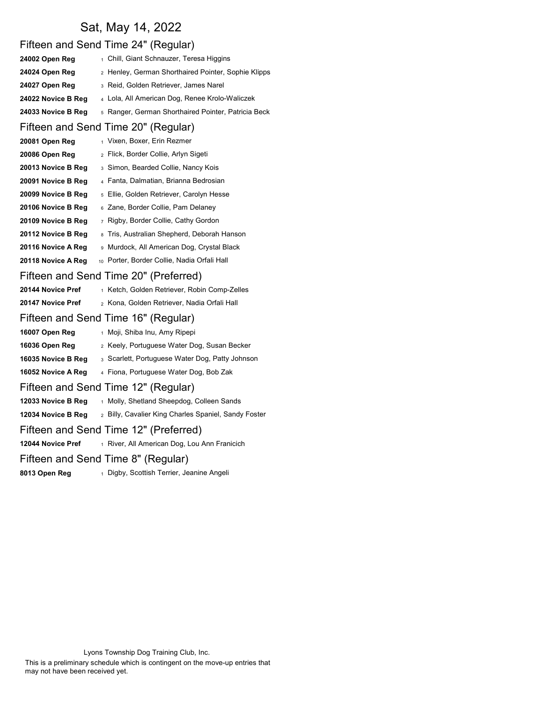### Sat, May 14, 2022

### Fifteen and Send Time 24" (Regular) 24002 Open Reg 1 Chill, Giant Schnauzer, Teresa Higgins 24024 Open Reg 2 Henley, German Shorthaired Pointer, Sophie Klipps 24027 Open Reg 3 Reid, Golden Retriever, James Narel 24022 Novice B Reg 4 Lola, All American Dog, Renee Krolo-Waliczek 24033 Novice B Reg 5 Ranger, German Shorthaired Pointer, Patricia Beck Fifteen and Send Time 20" (Regular) 20081 Open Reg 1 Vixen, Boxer, Erin Rezmer 20086 Open Reg 2 Flick, Border Collie, Arlyn Sigeti **20013 Novice B Reg**  $_3$  Simon, Bearded Collie, Nancy Kois 20091 Novice B Reg 4 Fanta, Dalmatian, Brianna Bedrosian 20099 Novice B Reg 5 Ellie, Golden Retriever, Carolyn Hesse **20106 Novice B Reg**  $6$  Zane, Border Collie, Pam Delaney **20109 Novice B Reg**  $7$  Rigby, Border Collie, Cathy Gordon 20112 Novice B Reg 8 Tris, Australian Shepherd, Deborah Hanson 20116 Novice A Reg <br>9 Murdock, All American Dog, Crystal Black 20118 Novice A Reg 10 Porter, Border Collie, Nadia Orfali Hall Fifteen and Send Time 20" (Preferred) 20144 Novice Pref 1 Ketch, Golden Retriever, Robin Comp-Zelles 20147 Novice Pref <sub>2</sub> Kona, Golden Retriever, Nadia Orfali Hall Fifteen and Send Time 16" (Regular) 16007 Open Reg 1 Moji, Shiba Inu, Amy Ripepi 16036 Open Reg 2 Keely, Portuguese Water Dog, Susan Becker 16035 Novice B Reg 3 Scarlett, Portuguese Water Dog, Patty Johnson 16052 Novice A Reg 4 Fiona, Portuguese Water Dog, Bob Zak Fifteen and Send Time 12" (Regular) 12033 Novice B Reg 1 Molly, Shetland Sheepdog, Colleen Sands 12034 Novice B Reg 2 Billy, Cavalier King Charles Spaniel, Sandy Foster Fifteen and Send Time 12" (Preferred) 12044 Novice Pref 1 River, All American Dog, Lou Ann Franicich Fifteen and Send Time 8" (Regular) 8013 Open Reg 1 Digby, Scottish Terrier, Jeanine Angeli

Lyons Township Dog Training Club, Inc.

This is a preliminary schedule which is contingent on the move-up entries that may not have been received yet.